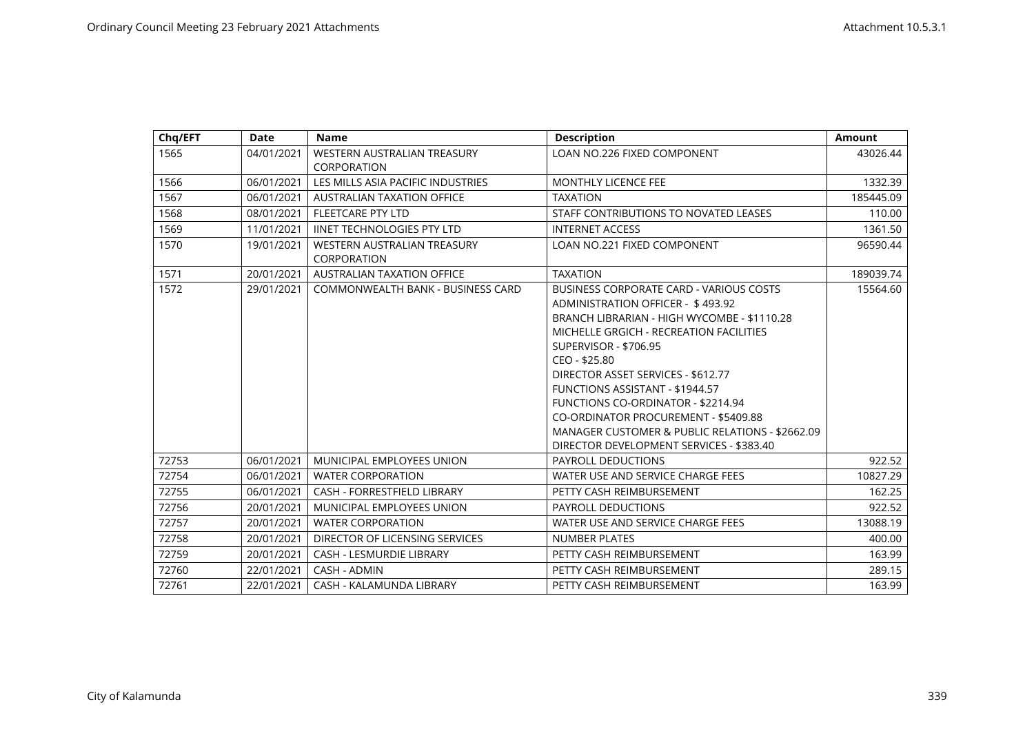| Chq/EFT | <b>Date</b> | <b>Name</b>                                       | <b>Description</b>                                                                                                                                                                                                                                                                                                                                                                                                                                                                   | <b>Amount</b> |
|---------|-------------|---------------------------------------------------|--------------------------------------------------------------------------------------------------------------------------------------------------------------------------------------------------------------------------------------------------------------------------------------------------------------------------------------------------------------------------------------------------------------------------------------------------------------------------------------|---------------|
| 1565    | 04/01/2021  | WESTERN AUSTRALIAN TREASURY<br><b>CORPORATION</b> | <b>LOAN NO.226 FIXED COMPONENT</b>                                                                                                                                                                                                                                                                                                                                                                                                                                                   | 43026.44      |
| 1566    | 06/01/2021  | LES MILLS ASIA PACIFIC INDUSTRIES                 | <b>MONTHLY LICENCE FEE</b>                                                                                                                                                                                                                                                                                                                                                                                                                                                           | 1332.39       |
| 1567    | 06/01/2021  | AUSTRALIAN TAXATION OFFICE                        | <b>TAXATION</b>                                                                                                                                                                                                                                                                                                                                                                                                                                                                      | 185445.09     |
| 1568    | 08/01/2021  | <b>FLEETCARE PTY LTD</b>                          | STAFF CONTRIBUTIONS TO NOVATED LEASES                                                                                                                                                                                                                                                                                                                                                                                                                                                | 110.00        |
| 1569    | 11/01/2021  | <b>IINET TECHNOLOGIES PTY LTD</b>                 | <b>INTERNET ACCESS</b>                                                                                                                                                                                                                                                                                                                                                                                                                                                               | 1361.50       |
| 1570    | 19/01/2021  | WESTERN AUSTRALIAN TREASURY<br>CORPORATION        | LOAN NO.221 FIXED COMPONENT                                                                                                                                                                                                                                                                                                                                                                                                                                                          | 96590.44      |
| 1571    | 20/01/2021  | <b>AUSTRALIAN TAXATION OFFICE</b>                 | <b>TAXATION</b>                                                                                                                                                                                                                                                                                                                                                                                                                                                                      | 189039.74     |
| 1572    | 29/01/2021  | <b>COMMONWEALTH BANK - BUSINESS CARD</b>          | <b>BUSINESS CORPORATE CARD - VARIOUS COSTS</b><br>ADMINISTRATION OFFICER - \$493.92<br>BRANCH LIBRARIAN - HIGH WYCOMBE - \$1110.28<br>MICHELLE GRGICH - RECREATION FACILITIES<br>SUPERVISOR - \$706.95<br>CEO - \$25.80<br>DIRECTOR ASSET SERVICES - \$612.77<br><b>FUNCTIONS ASSISTANT - \$1944.57</b><br>FUNCTIONS CO-ORDINATOR - \$2214.94<br>CO-ORDINATOR PROCUREMENT - \$5409.88<br>MANAGER CUSTOMER & PUBLIC RELATIONS - \$2662.09<br>DIRECTOR DEVELOPMENT SERVICES - \$383.40 | 15564.60      |
| 72753   | 06/01/2021  | <b>MUNICIPAL EMPLOYEES UNION</b>                  | PAYROLL DEDUCTIONS                                                                                                                                                                                                                                                                                                                                                                                                                                                                   | 922.52        |
| 72754   | 06/01/2021  | <b>WATER CORPORATION</b>                          | WATER USE AND SERVICE CHARGE FEES                                                                                                                                                                                                                                                                                                                                                                                                                                                    | 10827.29      |
| 72755   | 06/01/2021  | CASH - FORRESTFIELD LIBRARY                       | PETTY CASH REIMBURSEMENT                                                                                                                                                                                                                                                                                                                                                                                                                                                             | 162.25        |
| 72756   | 20/01/2021  | <b>MUNICIPAL EMPLOYEES UNION</b>                  | PAYROLL DEDUCTIONS                                                                                                                                                                                                                                                                                                                                                                                                                                                                   | 922.52        |
| 72757   | 20/01/2021  | <b>WATER CORPORATION</b>                          | WATER USE AND SERVICE CHARGE FEES                                                                                                                                                                                                                                                                                                                                                                                                                                                    | 13088.19      |
| 72758   | 20/01/2021  | DIRECTOR OF LICENSING SERVICES                    | <b>NUMBER PLATES</b>                                                                                                                                                                                                                                                                                                                                                                                                                                                                 | 400.00        |
| 72759   | 20/01/2021  | <b>CASH - LESMURDIE LIBRARY</b>                   | PETTY CASH REIMBURSEMENT                                                                                                                                                                                                                                                                                                                                                                                                                                                             | 163.99        |
| 72760   | 22/01/2021  | CASH - ADMIN                                      | PETTY CASH REIMBURSEMENT                                                                                                                                                                                                                                                                                                                                                                                                                                                             | 289.15        |
| 72761   | 22/01/2021  | CASH - KALAMUNDA LIBRARY                          | PETTY CASH REIMBURSEMENT                                                                                                                                                                                                                                                                                                                                                                                                                                                             | 163.99        |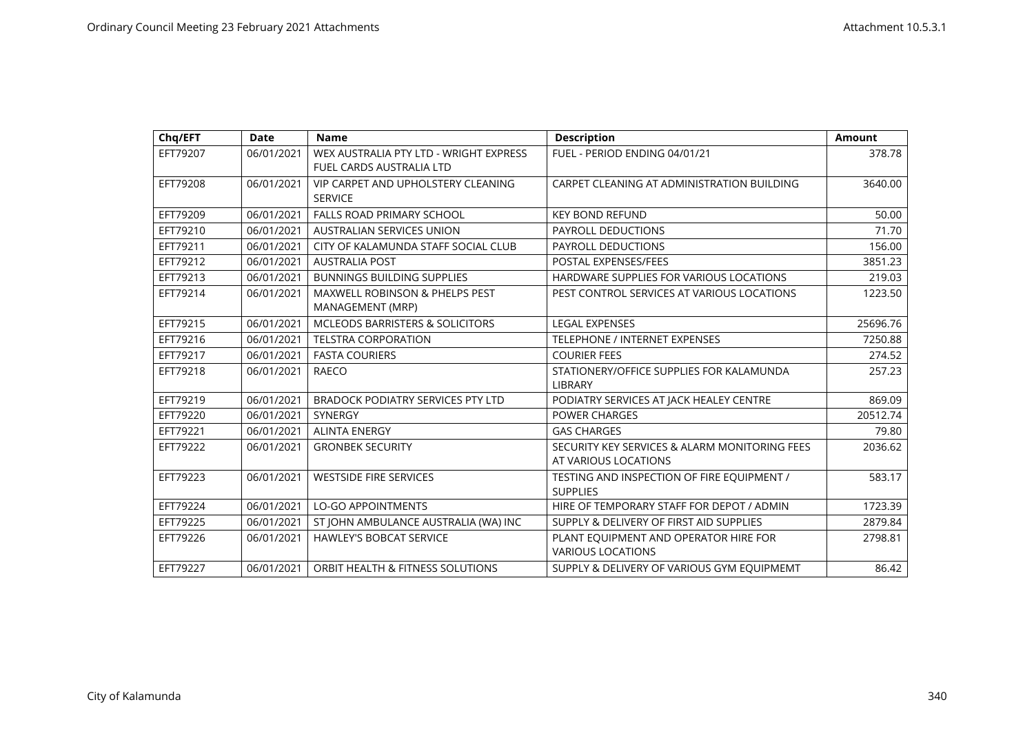| Chq/EFT  | <b>Date</b> | <b>Name</b>                                | <b>Description</b>                            | <b>Amount</b> |
|----------|-------------|--------------------------------------------|-----------------------------------------------|---------------|
| EFT79207 | 06/01/2021  | WEX AUSTRALIA PTY LTD - WRIGHT EXPRESS     | FUEL - PERIOD ENDING 04/01/21                 | 378.78        |
|          |             | <b>FUEL CARDS AUSTRALIA LTD</b>            |                                               |               |
| EFT79208 | 06/01/2021  | VIP CARPET AND UPHOLSTERY CLEANING         | CARPET CLEANING AT ADMINISTRATION BUILDING    | 3640.00       |
|          |             | <b>SERVICE</b>                             |                                               |               |
| EFT79209 | 06/01/2021  | <b>FALLS ROAD PRIMARY SCHOOL</b>           | <b>KEY BOND REFUND</b>                        | 50.00         |
| EFT79210 | 06/01/2021  | <b>AUSTRALIAN SERVICES UNION</b>           | <b>PAYROLL DEDUCTIONS</b>                     | 71.70         |
| EFT79211 | 06/01/2021  | CITY OF KALAMUNDA STAFF SOCIAL CLUB        | <b>PAYROLL DEDUCTIONS</b>                     | 156.00        |
| EFT79212 | 06/01/2021  | <b>AUSTRALIA POST</b>                      | POSTAL EXPENSES/FEES                          | 3851.23       |
| EFT79213 | 06/01/2021  | <b>BUNNINGS BUILDING SUPPLIES</b>          | HARDWARE SUPPLIES FOR VARIOUS LOCATIONS       | 219.03        |
| EFT79214 | 06/01/2021  | MAXWELL ROBINSON & PHELPS PEST             | PEST CONTROL SERVICES AT VARIOUS LOCATIONS    | 1223.50       |
|          |             | MANAGEMENT (MRP)                           |                                               |               |
| EFT79215 | 06/01/2021  | <b>MCLEODS BARRISTERS &amp; SOLICITORS</b> | <b>LEGAL EXPENSES</b>                         | 25696.76      |
| EFT79216 | 06/01/2021  | <b>TELSTRA CORPORATION</b>                 | <b>TELEPHONE / INTERNET EXPENSES</b>          | 7250.88       |
| EFT79217 | 06/01/2021  | <b>FASTA COURIERS</b>                      | <b>COURIER FEES</b>                           | 274.52        |
| EFT79218 | 06/01/2021  | RAECO                                      | STATIONERY/OFFICE SUPPLIES FOR KALAMUNDA      | 257.23        |
|          |             |                                            | LIBRARY                                       |               |
| EFT79219 | 06/01/2021  | BRADOCK PODIATRY SERVICES PTY LTD          | PODIATRY SERVICES AT JACK HEALEY CENTRE       | 869.09        |
| EFT79220 | 06/01/2021  | <b>SYNERGY</b>                             | <b>POWER CHARGES</b>                          | 20512.74      |
| EFT79221 | 06/01/2021  | <b>ALINTA ENERGY</b>                       | <b>GAS CHARGES</b>                            | 79.80         |
| EFT79222 | 06/01/2021  | <b>GRONBEK SECURITY</b>                    | SECURITY KEY SERVICES & ALARM MONITORING FEES | 2036.62       |
|          |             |                                            | AT VARIOUS LOCATIONS                          |               |
| EFT79223 | 06/01/2021  | <b>WESTSIDE FIRE SERVICES</b>              | TESTING AND INSPECTION OF FIRE EQUIPMENT /    | 583.17        |
|          |             |                                            | <b>SUPPLIES</b>                               |               |
| EFT79224 | 06/01/2021  | <b>LO-GO APPOINTMENTS</b>                  | HIRE OF TEMPORARY STAFF FOR DEPOT / ADMIN     | 1723.39       |
| EFT79225 | 06/01/2021  | ST JOHN AMBULANCE AUSTRALIA (WA) INC       | SUPPLY & DELIVERY OF FIRST AID SUPPLIES       | 2879.84       |
| EFT79226 | 06/01/2021  | <b>HAWLEY'S BOBCAT SERVICE</b>             | PLANT EQUIPMENT AND OPERATOR HIRE FOR         | 2798.81       |
|          |             |                                            | <b>VARIOUS LOCATIONS</b>                      |               |
| EFT79227 | 06/01/2021  | ORBIT HEALTH & FITNESS SOLUTIONS           | SUPPLY & DELIVERY OF VARIOUS GYM EQUIPMEMT    | 86.42         |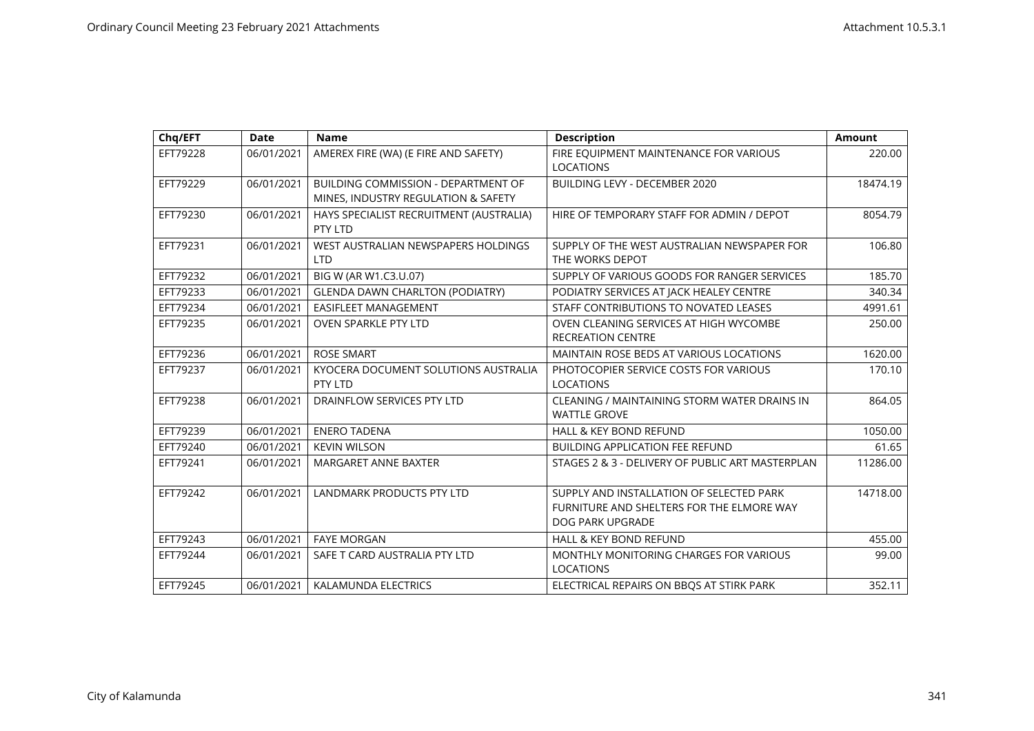| Chq/EFT  | <b>Date</b> | <b>Name</b>                                                                       | <b>Description</b>                                                                                        | <b>Amount</b> |
|----------|-------------|-----------------------------------------------------------------------------------|-----------------------------------------------------------------------------------------------------------|---------------|
| EFT79228 | 06/01/2021  | AMEREX FIRE (WA) (E FIRE AND SAFETY)                                              | FIRE EQUIPMENT MAINTENANCE FOR VARIOUS<br><b>LOCATIONS</b>                                                | 220.00        |
| EFT79229 | 06/01/2021  | <b>BUILDING COMMISSION - DEPARTMENT OF</b><br>MINES, INDUSTRY REGULATION & SAFETY | BUILDING LEVY - DECEMBER 2020                                                                             | 18474.19      |
| EFT79230 | 06/01/2021  | HAYS SPECIALIST RECRUITMENT (AUSTRALIA)<br>PTY LTD                                | HIRE OF TEMPORARY STAFF FOR ADMIN / DEPOT                                                                 | 8054.79       |
| EFT79231 | 06/01/2021  | WEST AUSTRALIAN NEWSPAPERS HOLDINGS<br><b>LTD</b>                                 | SUPPLY OF THE WEST AUSTRALIAN NEWSPAPER FOR<br>THE WORKS DEPOT                                            | 106.80        |
| EFT79232 | 06/01/2021  | BIG W (AR W1.C3.U.07)                                                             | SUPPLY OF VARIOUS GOODS FOR RANGER SERVICES                                                               | 185.70        |
| EFT79233 | 06/01/2021  | <b>GLENDA DAWN CHARLTON (PODIATRY)</b>                                            | PODIATRY SERVICES AT JACK HEALEY CENTRE                                                                   | 340.34        |
| EFT79234 | 06/01/2021  | EASIFLEET MANAGEMENT                                                              | STAFF CONTRIBUTIONS TO NOVATED LEASES                                                                     | 4991.61       |
| EFT79235 | 06/01/2021  | <b>OVEN SPARKLE PTY LTD</b>                                                       | OVEN CLEANING SERVICES AT HIGH WYCOMBE<br><b>RECREATION CENTRE</b>                                        | 250.00        |
| EFT79236 | 06/01/2021  | <b>ROSE SMART</b>                                                                 | MAINTAIN ROSE BEDS AT VARIOUS LOCATIONS                                                                   | 1620.00       |
| EFT79237 | 06/01/2021  | KYOCERA DOCUMENT SOLUTIONS AUSTRALIA<br>PTY LTD                                   | PHOTOCOPIER SERVICE COSTS FOR VARIOUS<br><b>LOCATIONS</b>                                                 | 170.10        |
| EFT79238 | 06/01/2021  | DRAINFLOW SERVICES PTY LTD                                                        | CLEANING / MAINTAINING STORM WATER DRAINS IN<br><b>WATTLE GROVE</b>                                       | 864.05        |
| EFT79239 | 06/01/2021  | <b>ENERO TADENA</b>                                                               | <b>HALL &amp; KEY BOND REFUND</b>                                                                         | 1050.00       |
| EFT79240 | 06/01/2021  | <b>KEVIN WILSON</b>                                                               | <b>BUILDING APPLICATION FEE REFUND</b>                                                                    | 61.65         |
| EFT79241 | 06/01/2021  | <b>MARGARET ANNE BAXTER</b>                                                       | STAGES 2 & 3 - DELIVERY OF PUBLIC ART MASTERPLAN                                                          | 11286.00      |
| EFT79242 | 06/01/2021  | LANDMARK PRODUCTS PTY LTD                                                         | SUPPLY AND INSTALLATION OF SELECTED PARK<br>FURNITURE AND SHELTERS FOR THE ELMORE WAY<br>DOG PARK UPGRADE | 14718.00      |
| EFT79243 | 06/01/2021  | <b>FAYE MORGAN</b>                                                                | <b>HALL &amp; KEY BOND REFUND</b>                                                                         | 455.00        |
| EFT79244 | 06/01/2021  | SAFE T CARD AUSTRALIA PTY LTD                                                     | MONTHLY MONITORING CHARGES FOR VARIOUS<br><b>LOCATIONS</b>                                                | 99.00         |
| EFT79245 | 06/01/2021  | <b>KALAMUNDA ELECTRICS</b>                                                        | ELECTRICAL REPAIRS ON BBQS AT STIRK PARK                                                                  | 352.11        |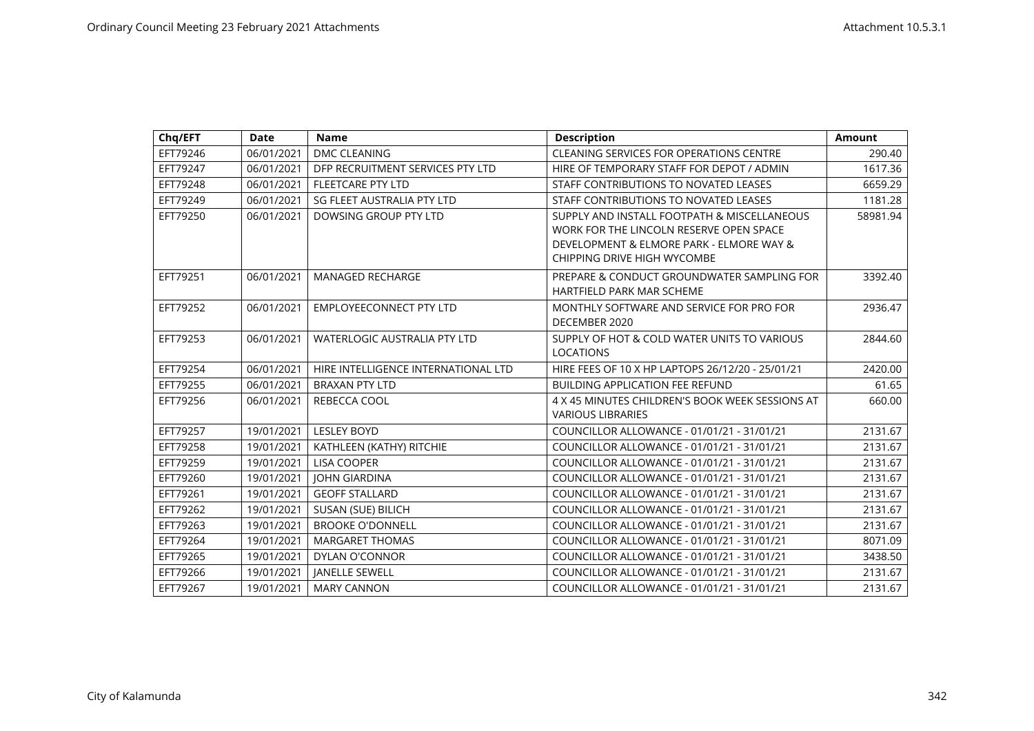| Chq/EFT  | <b>Date</b> | <b>Name</b>                         | <b>Description</b>                               | <b>Amount</b> |
|----------|-------------|-------------------------------------|--------------------------------------------------|---------------|
| EFT79246 | 06/01/2021  | DMC CLEANING                        | CLEANING SERVICES FOR OPERATIONS CENTRE          | 290.40        |
| EFT79247 | 06/01/2021  | DFP RECRUITMENT SERVICES PTY LTD    | HIRE OF TEMPORARY STAFF FOR DEPOT / ADMIN        | 1617.36       |
| EFT79248 | 06/01/2021  | <b>FLEETCARE PTY LTD</b>            | STAFF CONTRIBUTIONS TO NOVATED LEASES            | 6659.29       |
| EFT79249 | 06/01/2021  | SG FLEET AUSTRALIA PTY LTD          | STAFF CONTRIBUTIONS TO NOVATED LEASES            | 1181.28       |
| EFT79250 | 06/01/2021  | DOWSING GROUP PTY LTD               | SUPPLY AND INSTALL FOOTPATH & MISCELLANEOUS      | 58981.94      |
|          |             |                                     | WORK FOR THE LINCOLN RESERVE OPEN SPACE          |               |
|          |             |                                     | DEVELOPMENT & ELMORE PARK - ELMORE WAY &         |               |
|          |             |                                     | CHIPPING DRIVE HIGH WYCOMBE                      |               |
| EFT79251 | 06/01/2021  | <b>MANAGED RECHARGE</b>             | PREPARE & CONDUCT GROUNDWATER SAMPLING FOR       | 3392.40       |
|          |             |                                     | HARTFIELD PARK MAR SCHEME                        |               |
| EFT79252 | 06/01/2021  | <b>EMPLOYEECONNECT PTY LTD</b>      | MONTHLY SOFTWARE AND SERVICE FOR PRO FOR         | 2936.47       |
|          |             |                                     | DECEMBER 2020                                    |               |
| EFT79253 | 06/01/2021  | <b>WATERLOGIC AUSTRALIA PTY LTD</b> | SUPPLY OF HOT & COLD WATER UNITS TO VARIOUS      | 2844.60       |
|          |             |                                     | <b>LOCATIONS</b>                                 |               |
| EFT79254 | 06/01/2021  | HIRE INTELLIGENCE INTERNATIONAL LTD | HIRE FEES OF 10 X HP LAPTOPS 26/12/20 - 25/01/21 | 2420.00       |
| EFT79255 | 06/01/2021  | <b>BRAXAN PTY LTD</b>               | <b>BUILDING APPLICATION FEE REFUND</b>           | 61.65         |
| EFT79256 | 06/01/2021  | REBECCA COOL                        | 4 X 45 MINUTES CHILDREN'S BOOK WEEK SESSIONS AT  | 660.00        |
|          |             |                                     | <b>VARIOUS LIBRARIES</b>                         |               |
| EFT79257 | 19/01/2021  | <b>LESLEY BOYD</b>                  | COUNCILLOR ALLOWANCE - 01/01/21 - 31/01/21       | 2131.67       |
| EFT79258 | 19/01/2021  | KATHLEEN (KATHY) RITCHIE            | COUNCILLOR ALLOWANCE - 01/01/21 - 31/01/21       | 2131.67       |
| EFT79259 | 19/01/2021  | <b>LISA COOPER</b>                  | COUNCILLOR ALLOWANCE - 01/01/21 - 31/01/21       | 2131.67       |
| EFT79260 | 19/01/2021  | <b>JOHN GIARDINA</b>                | COUNCILLOR ALLOWANCE - 01/01/21 - 31/01/21       | 2131.67       |
| EFT79261 | 19/01/2021  | <b>GEOFF STALLARD</b>               | COUNCILLOR ALLOWANCE - 01/01/21 - 31/01/21       | 2131.67       |
| EFT79262 | 19/01/2021  | SUSAN (SUE) BILICH                  | COUNCILLOR ALLOWANCE - 01/01/21 - 31/01/21       | 2131.67       |
| EFT79263 | 19/01/2021  | <b>BROOKE O'DONNELL</b>             | COUNCILLOR ALLOWANCE - 01/01/21 - 31/01/21       | 2131.67       |
| EFT79264 | 19/01/2021  | <b>MARGARET THOMAS</b>              | COUNCILLOR ALLOWANCE - 01/01/21 - 31/01/21       | 8071.09       |
| EFT79265 | 19/01/2021  | DYLAN O'CONNOR                      | COUNCILLOR ALLOWANCE - 01/01/21 - 31/01/21       | 3438.50       |
| EFT79266 | 19/01/2021  | <b>JANELLE SEWELL</b>               | COUNCILLOR ALLOWANCE - 01/01/21 - 31/01/21       | 2131.67       |
| EFT79267 | 19/01/2021  | <b>MARY CANNON</b>                  | COUNCILLOR ALLOWANCE - 01/01/21 - 31/01/21       | 2131.67       |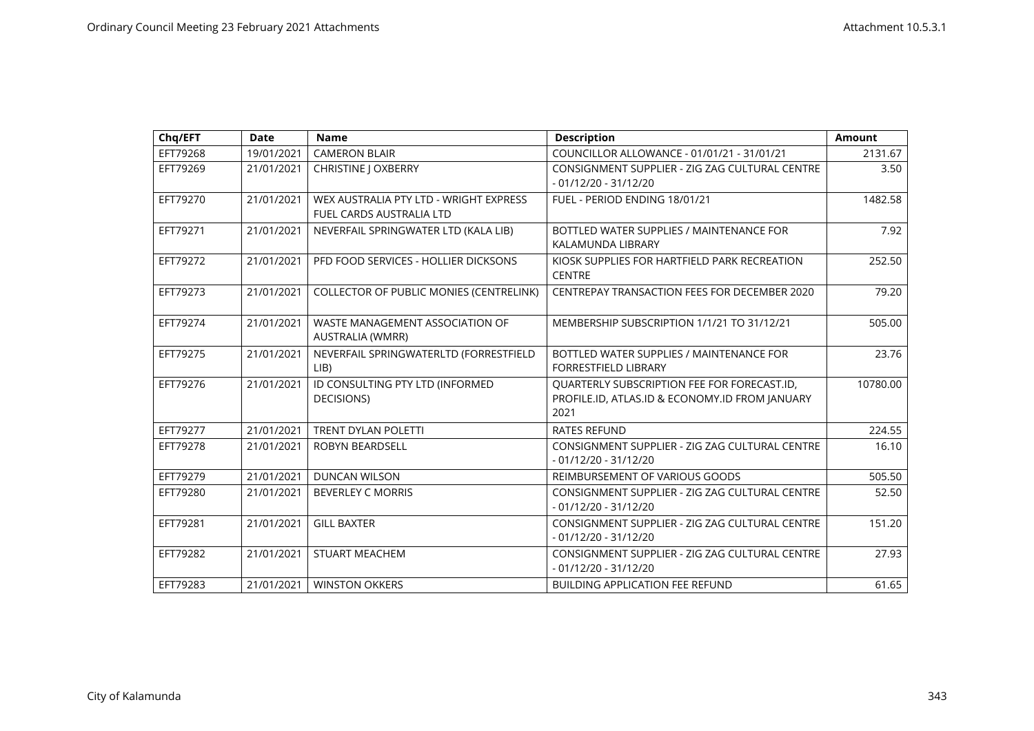| Chq/EFT  | <b>Date</b> | <b>Name</b>                                                               | <b>Description</b>                                                                                    | <b>Amount</b> |
|----------|-------------|---------------------------------------------------------------------------|-------------------------------------------------------------------------------------------------------|---------------|
| EFT79268 | 19/01/2021  | <b>CAMERON BLAIR</b>                                                      | COUNCILLOR ALLOWANCE - 01/01/21 - 31/01/21                                                            | 2131.67       |
| EFT79269 | 21/01/2021  | CHRISTINE J OXBERRY                                                       | CONSIGNMENT SUPPLIER - ZIG ZAG CULTURAL CENTRE<br>$-01/12/20 - 31/12/20$                              | 3.50          |
| EFT79270 | 21/01/2021  | WEX AUSTRALIA PTY LTD - WRIGHT EXPRESS<br><b>FUEL CARDS AUSTRALIA LTD</b> | FUEL - PERIOD ENDING 18/01/21                                                                         | 1482.58       |
| EFT79271 | 21/01/2021  | NEVERFAIL SPRINGWATER LTD (KALA LIB)                                      | BOTTLED WATER SUPPLIES / MAINTENANCE FOR<br>KALAMUNDA LIBRARY                                         | 7.92          |
| EFT79272 | 21/01/2021  | PFD FOOD SERVICES - HOLLIER DICKSONS                                      | KIOSK SUPPLIES FOR HARTFIELD PARK RECREATION<br><b>CENTRE</b>                                         | 252.50        |
| EFT79273 | 21/01/2021  | <b>COLLECTOR OF PUBLIC MONIES (CENTRELINK)</b>                            | CENTREPAY TRANSACTION FEES FOR DECEMBER 2020                                                          | 79.20         |
| EFT79274 | 21/01/2021  | WASTE MANAGEMENT ASSOCIATION OF<br>AUSTRALIA (WMRR)                       | MEMBERSHIP SUBSCRIPTION 1/1/21 TO 31/12/21                                                            | 505.00        |
| EFT79275 | 21/01/2021  | NEVERFAIL SPRINGWATERLTD (FORRESTFIELD<br>LIB)                            | BOTTLED WATER SUPPLIES / MAINTENANCE FOR<br>FORRESTFIELD LIBRARY                                      | 23.76         |
| EFT79276 | 21/01/2021  | ID CONSULTING PTY LTD (INFORMED<br>DECISIONS)                             | QUARTERLY SUBSCRIPTION FEE FOR FORECAST.ID,<br>PROFILE.ID, ATLAS.ID & ECONOMY.ID FROM JANUARY<br>2021 | 10780.00      |
| EFT79277 | 21/01/2021  | <b>TRENT DYLAN POLETTI</b>                                                | <b>RATES REFUND</b>                                                                                   | 224.55        |
| EFT79278 | 21/01/2021  | <b>ROBYN BEARDSELL</b>                                                    | CONSIGNMENT SUPPLIER - ZIG ZAG CULTURAL CENTRE<br>$-01/12/20 - 31/12/20$                              | 16.10         |
| EFT79279 | 21/01/2021  | <b>DUNCAN WILSON</b>                                                      | REIMBURSEMENT OF VARIOUS GOODS                                                                        | 505.50        |
| EFT79280 | 21/01/2021  | <b>BEVERLEY C MORRIS</b>                                                  | CONSIGNMENT SUPPLIER - ZIG ZAG CULTURAL CENTRE<br>$-01/12/20 - 31/12/20$                              | 52.50         |
| EFT79281 | 21/01/2021  | <b>GILL BAXTER</b>                                                        | CONSIGNMENT SUPPLIER - ZIG ZAG CULTURAL CENTRE<br>$-01/12/20 - 31/12/20$                              | 151.20        |
| EFT79282 | 21/01/2021  | <b>STUART MEACHEM</b>                                                     | CONSIGNMENT SUPPLIER - ZIG ZAG CULTURAL CENTRE<br>$-01/12/20 - 31/12/20$                              | 27.93         |
| EFT79283 | 21/01/2021  | <b>WINSTON OKKERS</b>                                                     | <b>BUILDING APPLICATION FEE REFUND</b>                                                                | 61.65         |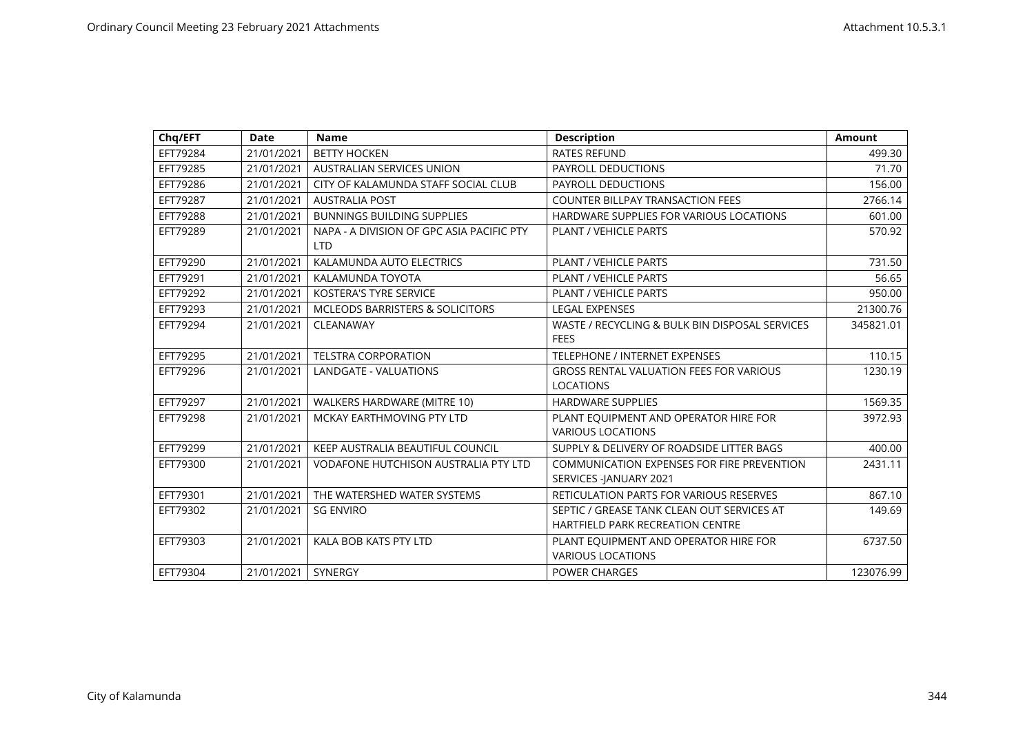| Chq/EFT  | <b>Date</b> | <b>Name</b>                                 | <b>Description</b>                             | <b>Amount</b> |
|----------|-------------|---------------------------------------------|------------------------------------------------|---------------|
| EFT79284 | 21/01/2021  | <b>BETTY HOCKEN</b>                         | <b>RATES REFUND</b>                            | 499.30        |
| EFT79285 | 21/01/2021  | <b>AUSTRALIAN SERVICES UNION</b>            | PAYROLL DEDUCTIONS                             | 71.70         |
| EFT79286 | 21/01/2021  | CITY OF KALAMUNDA STAFF SOCIAL CLUB         | <b>PAYROLL DEDUCTIONS</b>                      | 156.00        |
| EFT79287 | 21/01/2021  | <b>AUSTRALIA POST</b>                       | <b>COUNTER BILLPAY TRANSACTION FEES</b>        | 2766.14       |
| EFT79288 | 21/01/2021  | <b>BUNNINGS BUILDING SUPPLIES</b>           | HARDWARE SUPPLIES FOR VARIOUS LOCATIONS        | 601.00        |
| EFT79289 | 21/01/2021  | NAPA - A DIVISION OF GPC ASIA PACIFIC PTY   | <b>PLANT / VEHICLE PARTS</b>                   | 570.92        |
|          |             | <b>LTD</b>                                  |                                                |               |
| EFT79290 | 21/01/2021  | KALAMUNDA AUTO ELECTRICS                    | <b>PLANT / VEHICLE PARTS</b>                   | 731.50        |
| EFT79291 | 21/01/2021  | KALAMUNDA TOYOTA                            | PLANT / VEHICLE PARTS                          | 56.65         |
| EFT79292 | 21/01/2021  | <b>KOSTERA'S TYRE SERVICE</b>               | <b>PLANT / VEHICLE PARTS</b>                   | 950.00        |
| EFT79293 | 21/01/2021  | <b>MCLEODS BARRISTERS &amp; SOLICITORS</b>  | <b>LEGAL EXPENSES</b>                          | 21300.76      |
| EFT79294 | 21/01/2021  | CLEANAWAY                                   | WASTE / RECYCLING & BULK BIN DISPOSAL SERVICES | 345821.01     |
|          |             |                                             | <b>FEES</b>                                    |               |
| EFT79295 | 21/01/2021  | <b>TELSTRA CORPORATION</b>                  | <b>TELEPHONE / INTERNET EXPENSES</b>           | 110.15        |
| EFT79296 | 21/01/2021  | <b>LANDGATE - VALUATIONS</b>                | <b>GROSS RENTAL VALUATION FEES FOR VARIOUS</b> | 1230.19       |
|          |             |                                             | <b>LOCATIONS</b>                               |               |
| EFT79297 | 21/01/2021  | WALKERS HARDWARE (MITRE 10)                 | <b>HARDWARE SUPPLIES</b>                       | 1569.35       |
| EFT79298 | 21/01/2021  | MCKAY EARTHMOVING PTY LTD                   | PLANT EQUIPMENT AND OPERATOR HIRE FOR          | 3972.93       |
|          |             |                                             | <b>VARIOUS LOCATIONS</b>                       |               |
| EFT79299 | 21/01/2021  | KEEP AUSTRALIA BEAUTIFUL COUNCIL            | SUPPLY & DELIVERY OF ROADSIDE LITTER BAGS      | 400.00        |
| EFT79300 | 21/01/2021  | <b>VODAFONE HUTCHISON AUSTRALIA PTY LTD</b> | COMMUNICATION EXPENSES FOR FIRE PREVENTION     | 2431.11       |
|          |             |                                             | SERVICES -JANUARY 2021                         |               |
| EFT79301 | 21/01/2021  | THE WATERSHED WATER SYSTEMS                 | RETICULATION PARTS FOR VARIOUS RESERVES        | 867.10        |
| EFT79302 | 21/01/2021  | <b>SG ENVIRO</b>                            | SEPTIC / GREASE TANK CLEAN OUT SERVICES AT     | 149.69        |
|          |             |                                             | HARTFIELD PARK RECREATION CENTRE               |               |
| EFT79303 | 21/01/2021  | KALA BOB KATS PTY LTD                       | PLANT EQUIPMENT AND OPERATOR HIRE FOR          | 6737.50       |
|          |             |                                             | <b>VARIOUS LOCATIONS</b>                       |               |
| EFT79304 | 21/01/2021  | <b>SYNERGY</b>                              | <b>POWER CHARGES</b>                           | 123076.99     |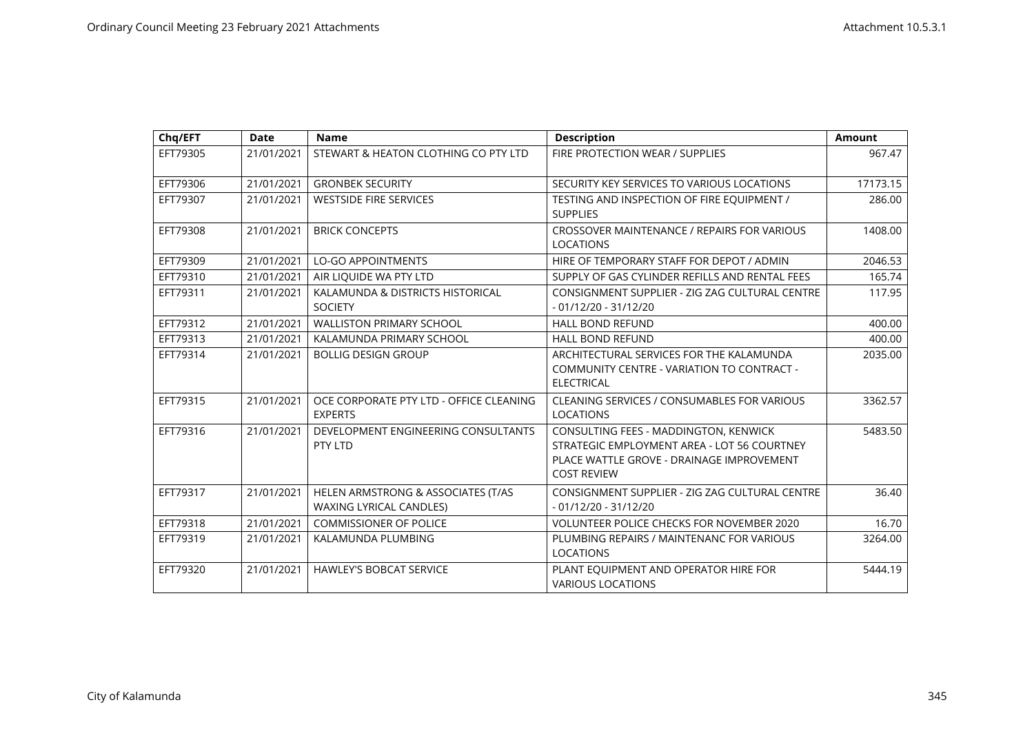| Chq/EFT  | <b>Date</b> | <b>Name</b>                                                          | <b>Description</b>                                                                                                                                      | <b>Amount</b> |
|----------|-------------|----------------------------------------------------------------------|---------------------------------------------------------------------------------------------------------------------------------------------------------|---------------|
| EFT79305 | 21/01/2021  | STEWART & HEATON CLOTHING CO PTY LTD                                 | FIRE PROTECTION WEAR / SUPPLIES                                                                                                                         | 967.47        |
| EFT79306 | 21/01/2021  | <b>GRONBEK SECURITY</b>                                              | SECURITY KEY SERVICES TO VARIOUS LOCATIONS                                                                                                              | 17173.15      |
| EFT79307 | 21/01/2021  | <b>WESTSIDE FIRE SERVICES</b>                                        | TESTING AND INSPECTION OF FIRE EOUIPMENT /<br><b>SUPPLIES</b>                                                                                           | 286.00        |
| EFT79308 | 21/01/2021  | <b>BRICK CONCEPTS</b>                                                | CROSSOVER MAINTENANCE / REPAIRS FOR VARIOUS<br><b>LOCATIONS</b>                                                                                         | 1408.00       |
| EFT79309 | 21/01/2021  | <b>LO-GO APPOINTMENTS</b>                                            | HIRE OF TEMPORARY STAFF FOR DEPOT / ADMIN                                                                                                               | 2046.53       |
| EFT79310 | 21/01/2021  | AIR LIQUIDE WA PTY LTD                                               | SUPPLY OF GAS CYLINDER REFILLS AND RENTAL FEES                                                                                                          | 165.74        |
| EFT79311 | 21/01/2021  | KALAMUNDA & DISTRICTS HISTORICAL<br><b>SOCIETY</b>                   | CONSIGNMENT SUPPLIER - ZIG ZAG CULTURAL CENTRE<br>$-01/12/20 - 31/12/20$                                                                                | 117.95        |
| EFT79312 | 21/01/2021  | <b>WALLISTON PRIMARY SCHOOL</b>                                      | <b>HALL BOND REFUND</b>                                                                                                                                 | 400.00        |
| EFT79313 | 21/01/2021  | KALAMUNDA PRIMARY SCHOOL                                             | <b>HALL BOND REFUND</b>                                                                                                                                 | 400.00        |
| EFT79314 | 21/01/2021  | <b>BOLLIG DESIGN GROUP</b>                                           | ARCHITECTURAL SERVICES FOR THE KALAMUNDA<br>COMMUNITY CENTRE - VARIATION TO CONTRACT -<br><b>ELECTRICAL</b>                                             | 2035.00       |
| EFT79315 | 21/01/2021  | OCE CORPORATE PTY LTD - OFFICE CLEANING<br><b>EXPERTS</b>            | CLEANING SERVICES / CONSUMABLES FOR VARIOUS<br><b>LOCATIONS</b>                                                                                         | 3362.57       |
| EFT79316 | 21/01/2021  | DEVELOPMENT ENGINEERING CONSULTANTS<br>PTY LTD                       | CONSULTING FEES - MADDINGTON, KENWICK<br>STRATEGIC EMPLOYMENT AREA - LOT 56 COURTNEY<br>PLACE WATTLE GROVE - DRAINAGE IMPROVEMENT<br><b>COST REVIEW</b> | 5483.50       |
| EFT79317 | 21/01/2021  | HELEN ARMSTRONG & ASSOCIATES (T/AS<br><b>WAXING LYRICAL CANDLES)</b> | CONSIGNMENT SUPPLIER - ZIG ZAG CULTURAL CENTRE<br>$-01/12/20 - 31/12/20$                                                                                | 36.40         |
| EFT79318 | 21/01/2021  | <b>COMMISSIONER OF POLICE</b>                                        | <b>VOLUNTEER POLICE CHECKS FOR NOVEMBER 2020</b>                                                                                                        | 16.70         |
| EFT79319 | 21/01/2021  | KALAMUNDA PLUMBING                                                   | PLUMBING REPAIRS / MAINTENANC FOR VARIOUS<br><b>LOCATIONS</b>                                                                                           | 3264.00       |
| EFT79320 | 21/01/2021  | <b>HAWLEY'S BOBCAT SERVICE</b>                                       | PLANT EQUIPMENT AND OPERATOR HIRE FOR<br><b>VARIOUS LOCATIONS</b>                                                                                       | 5444.19       |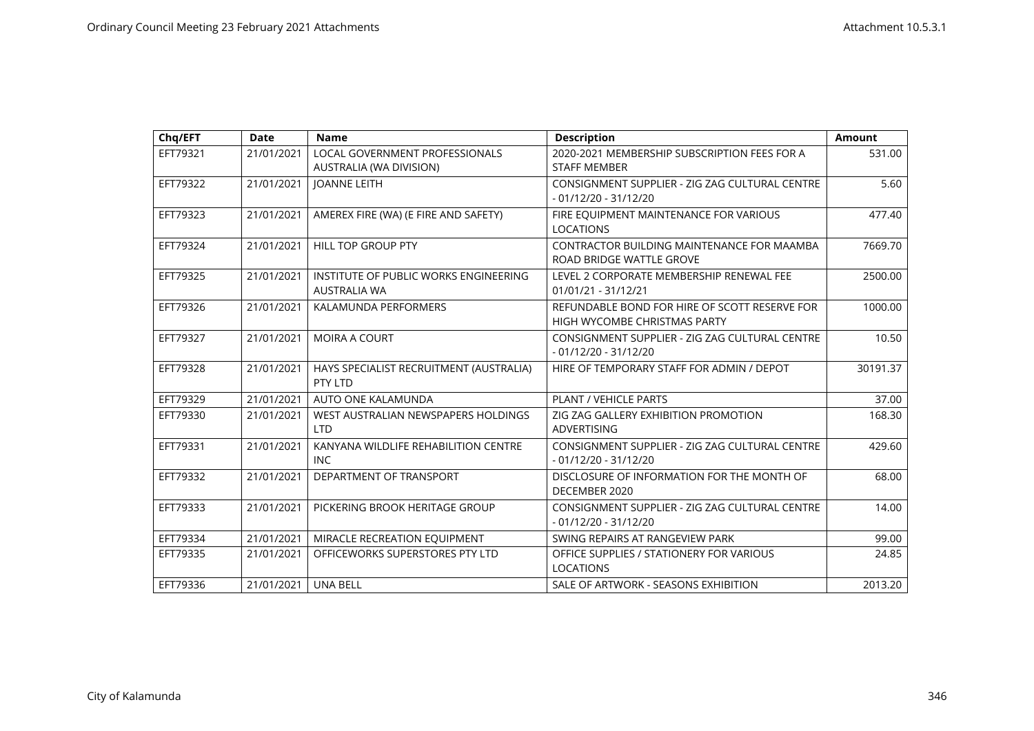| Chq/EFT  | <b>Date</b> | <b>Name</b>                                                  | <b>Description</b>                                                            | <b>Amount</b> |
|----------|-------------|--------------------------------------------------------------|-------------------------------------------------------------------------------|---------------|
| EFT79321 | 21/01/2021  | LOCAL GOVERNMENT PROFESSIONALS<br>AUSTRALIA (WA DIVISION)    | 2020-2021 MEMBERSHIP SUBSCRIPTION FEES FOR A<br><b>STAFF MEMBER</b>           | 531.00        |
| EFT79322 | 21/01/2021  | <b>JOANNE LEITH</b>                                          | CONSIGNMENT SUPPLIER - ZIG ZAG CULTURAL CENTRE<br>$-01/12/20 - 31/12/20$      | 5.60          |
| EFT79323 | 21/01/2021  | AMEREX FIRE (WA) (E FIRE AND SAFETY)                         | FIRE EQUIPMENT MAINTENANCE FOR VARIOUS<br><b>LOCATIONS</b>                    | 477.40        |
| EFT79324 | 21/01/2021  | <b>HILL TOP GROUP PTY</b>                                    | CONTRACTOR BUILDING MAINTENANCE FOR MAAMBA<br>ROAD BRIDGE WATTLE GROVE        | 7669.70       |
| EFT79325 | 21/01/2021  | INSTITUTE OF PUBLIC WORKS ENGINEERING<br><b>AUSTRALIA WA</b> | LEVEL 2 CORPORATE MEMBERSHIP RENEWAL FEE<br>01/01/21 - 31/12/21               | 2500.00       |
| EFT79326 | 21/01/2021  | KALAMUNDA PERFORMERS                                         | REFUNDABLE BOND FOR HIRE OF SCOTT RESERVE FOR<br>HIGH WYCOMBE CHRISTMAS PARTY | 1000.00       |
| EFT79327 | 21/01/2021  | <b>MOIRA A COURT</b>                                         | CONSIGNMENT SUPPLIER - ZIG ZAG CULTURAL CENTRE<br>$-01/12/20 - 31/12/20$      | 10.50         |
| EFT79328 | 21/01/2021  | HAYS SPECIALIST RECRUITMENT (AUSTRALIA)<br>PTY LTD           | HIRE OF TEMPORARY STAFF FOR ADMIN / DEPOT                                     | 30191.37      |
| EFT79329 | 21/01/2021  | AUTO ONE KALAMUNDA                                           | PLANT / VEHICLE PARTS                                                         | 37.00         |
| EFT79330 | 21/01/2021  | WEST AUSTRALIAN NEWSPAPERS HOLDINGS<br><b>LTD</b>            | ZIG ZAG GALLERY EXHIBITION PROMOTION<br><b>ADVERTISING</b>                    | 168.30        |
| EFT79331 | 21/01/2021  | KANYANA WILDLIFE REHABILITION CENTRE<br><b>INC</b>           | CONSIGNMENT SUPPLIER - ZIG ZAG CULTURAL CENTRE<br>$-01/12/20 - 31/12/20$      | 429.60        |
| EFT79332 | 21/01/2021  | DEPARTMENT OF TRANSPORT                                      | DISCLOSURE OF INFORMATION FOR THE MONTH OF<br>DECEMBER 2020                   | 68.00         |
| EFT79333 | 21/01/2021  | PICKERING BROOK HERITAGE GROUP                               | CONSIGNMENT SUPPLIER - ZIG ZAG CULTURAL CENTRE<br>- 01/12/20 - 31/12/20       | 14.00         |
| EFT79334 | 21/01/2021  | MIRACLE RECREATION EQUIPMENT                                 | SWING REPAIRS AT RANGEVIEW PARK                                               | 99.00         |
| EFT79335 | 21/01/2021  | OFFICEWORKS SUPERSTORES PTY LTD                              | OFFICE SUPPLIES / STATIONERY FOR VARIOUS<br><b>LOCATIONS</b>                  | 24.85         |
| EFT79336 | 21/01/2021  | <b>UNA BELL</b>                                              | SALE OF ARTWORK - SEASONS EXHIBITION                                          | 2013.20       |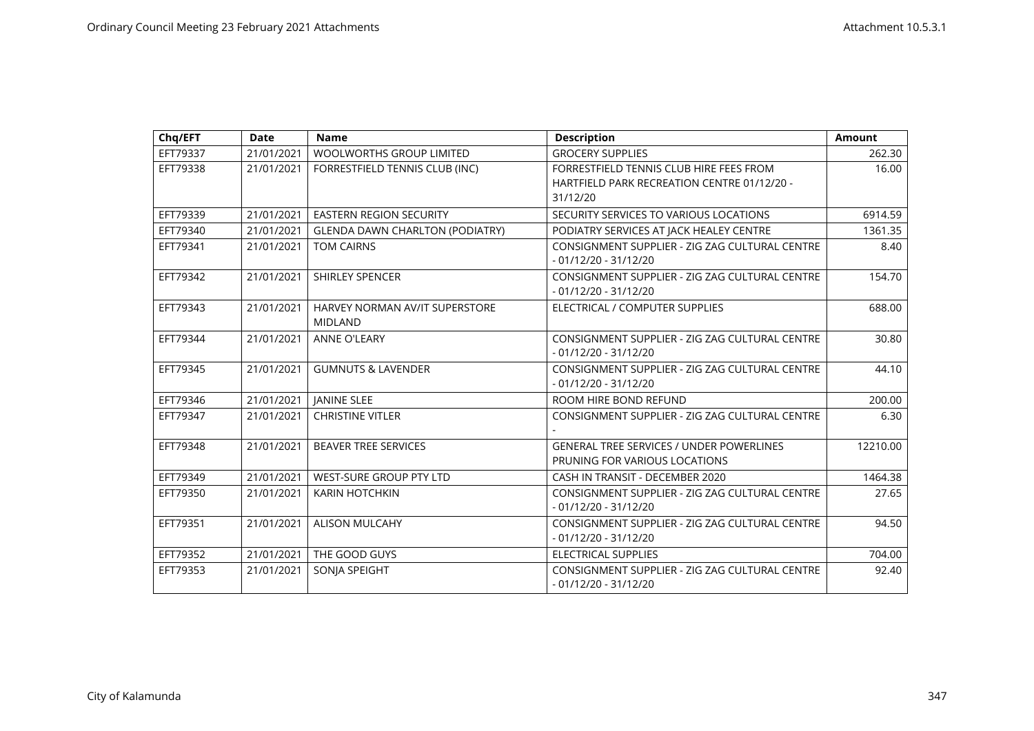| Chq/EFT  | <b>Date</b> | <b>Name</b>                                      | <b>Description</b>                                                       | <b>Amount</b> |
|----------|-------------|--------------------------------------------------|--------------------------------------------------------------------------|---------------|
| EFT79337 | 21/01/2021  | WOOLWORTHS GROUP LIMITED                         | <b>GROCERY SUPPLIES</b>                                                  | 262.30        |
| EFT79338 | 21/01/2021  | FORRESTFIELD TENNIS CLUB (INC)                   | FORRESTFIELD TENNIS CLUB HIRE FEES FROM                                  | 16.00         |
|          |             |                                                  | HARTFIELD PARK RECREATION CENTRE 01/12/20 -                              |               |
|          |             |                                                  | 31/12/20                                                                 |               |
| EFT79339 | 21/01/2021  | <b>EASTERN REGION SECURITY</b>                   | SECURITY SERVICES TO VARIOUS LOCATIONS                                   | 6914.59       |
| EFT79340 | 21/01/2021  | <b>GLENDA DAWN CHARLTON (PODIATRY)</b>           | PODIATRY SERVICES AT JACK HEALEY CENTRE                                  | 1361.35       |
| EFT79341 | 21/01/2021  | <b>TOM CAIRNS</b>                                | CONSIGNMENT SUPPLIER - ZIG ZAG CULTURAL CENTRE<br>$-01/12/20 - 31/12/20$ | 8.40          |
| EFT79342 | 21/01/2021  | <b>SHIRLEY SPENCER</b>                           | CONSIGNMENT SUPPLIER - ZIG ZAG CULTURAL CENTRE<br>$-01/12/20 - 31/12/20$ | 154.70        |
| EFT79343 | 21/01/2021  | HARVEY NORMAN AV/IT SUPERSTORE<br><b>MIDLAND</b> | ELECTRICAL / COMPUTER SUPPLIES                                           | 688.00        |
| EFT79344 | 21/01/2021  | <b>ANNE O'LEARY</b>                              | CONSIGNMENT SUPPLIER - ZIG ZAG CULTURAL CENTRE<br>$-01/12/20 - 31/12/20$ | 30.80         |
| EFT79345 | 21/01/2021  | <b>GUMNUTS &amp; LAVENDER</b>                    | CONSIGNMENT SUPPLIER - ZIG ZAG CULTURAL CENTRE                           | 44.10         |
|          |             |                                                  | $-01/12/20 - 31/12/20$                                                   |               |
| EFT79346 | 21/01/2021  | <b>JANINE SLEE</b>                               | ROOM HIRE BOND REFUND                                                    | 200.00        |
| EFT79347 | 21/01/2021  | <b>CHRISTINE VITLER</b>                          | CONSIGNMENT SUPPLIER - ZIG ZAG CULTURAL CENTRE                           | 6.30          |
|          |             |                                                  |                                                                          |               |
| EFT79348 | 21/01/2021  | <b>BEAVER TREE SERVICES</b>                      | <b>GENERAL TREE SERVICES / UNDER POWERLINES</b>                          | 12210.00      |
|          |             |                                                  | PRUNING FOR VARIOUS LOCATIONS                                            |               |
| EFT79349 | 21/01/2021  | <b>WEST-SURE GROUP PTY LTD</b>                   | CASH IN TRANSIT - DECEMBER 2020                                          | 1464.38       |
| EFT79350 | 21/01/2021  | <b>KARIN HOTCHKIN</b>                            | CONSIGNMENT SUPPLIER - ZIG ZAG CULTURAL CENTRE                           | 27.65         |
|          |             |                                                  | $-01/12/20 - 31/12/20$                                                   |               |
| EFT79351 | 21/01/2021  | <b>ALISON MULCAHY</b>                            | CONSIGNMENT SUPPLIER - ZIG ZAG CULTURAL CENTRE                           | 94.50         |
|          |             |                                                  | $-01/12/20 - 31/12/20$                                                   |               |
| EFT79352 | 21/01/2021  | THE GOOD GUYS                                    | <b>ELECTRICAL SUPPLIES</b>                                               | 704.00        |
| EFT79353 | 21/01/2021  | SONIA SPEIGHT                                    | CONSIGNMENT SUPPLIER - ZIG ZAG CULTURAL CENTRE                           | 92.40         |
|          |             |                                                  | $-01/12/20 - 31/12/20$                                                   |               |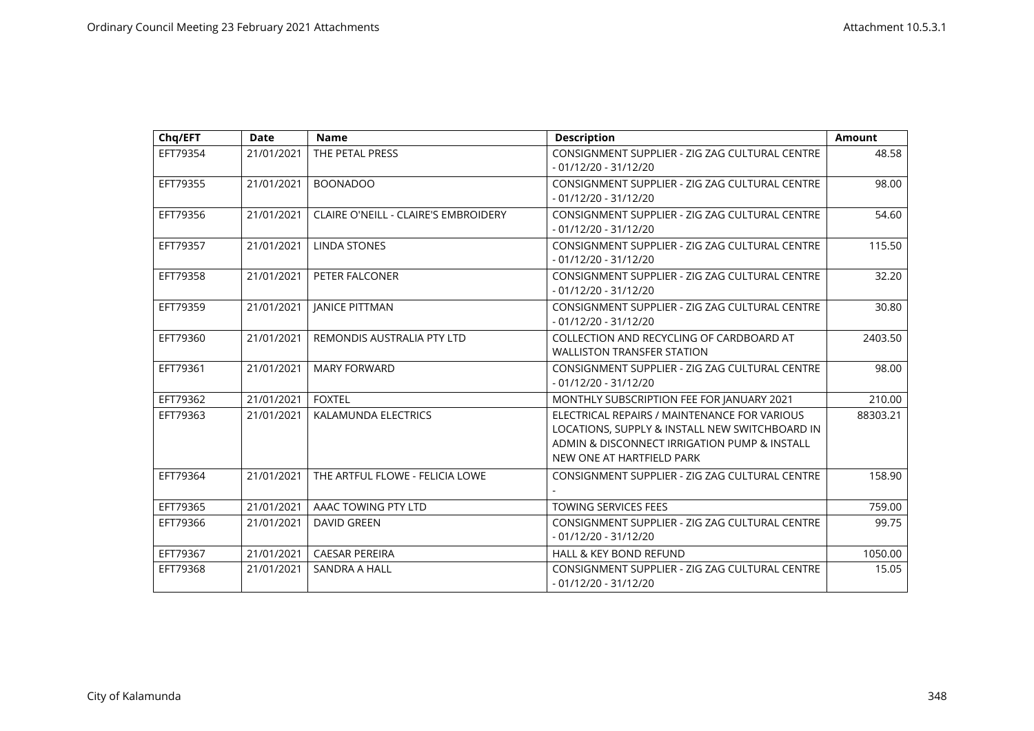| Chq/EFT  | <b>Date</b> | <b>Name</b>                                 | <b>Description</b>                                                                                                                                                          | <b>Amount</b> |
|----------|-------------|---------------------------------------------|-----------------------------------------------------------------------------------------------------------------------------------------------------------------------------|---------------|
| EFT79354 | 21/01/2021  | THE PETAL PRESS                             | CONSIGNMENT SUPPLIER - ZIG ZAG CULTURAL CENTRE<br>$-01/12/20 - 31/12/20$                                                                                                    | 48.58         |
| EFT79355 | 21/01/2021  | <b>BOONADOO</b>                             | CONSIGNMENT SUPPLIER - ZIG ZAG CULTURAL CENTRE<br>$-01/12/20 - 31/12/20$                                                                                                    | 98.00         |
| EFT79356 | 21/01/2021  | <b>CLAIRE O'NEILL - CLAIRE'S EMBROIDERY</b> | CONSIGNMENT SUPPLIER - ZIG ZAG CULTURAL CENTRE<br>$-01/12/20 - 31/12/20$                                                                                                    | 54.60         |
| EFT79357 | 21/01/2021  | <b>LINDA STONES</b>                         | CONSIGNMENT SUPPLIER - ZIG ZAG CULTURAL CENTRE<br>$-01/12/20 - 31/12/20$                                                                                                    | 115.50        |
| EFT79358 | 21/01/2021  | PETER FALCONER                              | CONSIGNMENT SUPPLIER - ZIG ZAG CULTURAL CENTRE<br>$-01/12/20 - 31/12/20$                                                                                                    | 32.20         |
| EFT79359 | 21/01/2021  | <b>JANICE PITTMAN</b>                       | CONSIGNMENT SUPPLIER - ZIG ZAG CULTURAL CENTRE<br>$-01/12/20 - 31/12/20$                                                                                                    | 30.80         |
| EFT79360 | 21/01/2021  | REMONDIS AUSTRALIA PTY LTD                  | COLLECTION AND RECYCLING OF CARDBOARD AT<br><b>WALLISTON TRANSFER STATION</b>                                                                                               | 2403.50       |
| EFT79361 | 21/01/2021  | <b>MARY FORWARD</b>                         | CONSIGNMENT SUPPLIER - ZIG ZAG CULTURAL CENTRE<br>$-01/12/20 - 31/12/20$                                                                                                    | 98.00         |
| EFT79362 | 21/01/2021  | <b>FOXTEL</b>                               | MONTHLY SUBSCRIPTION FEE FOR JANUARY 2021                                                                                                                                   | 210.00        |
| EFT79363 | 21/01/2021  | <b>KALAMUNDA ELECTRICS</b>                  | ELECTRICAL REPAIRS / MAINTENANCE FOR VARIOUS<br>LOCATIONS, SUPPLY & INSTALL NEW SWITCHBOARD IN<br>ADMIN & DISCONNECT IRRIGATION PUMP & INSTALL<br>NEW ONE AT HARTFIELD PARK | 88303.21      |
| EFT79364 | 21/01/2021  | THE ARTFUL FLOWE - FELICIA LOWE             | CONSIGNMENT SUPPLIER - ZIG ZAG CULTURAL CENTRE                                                                                                                              | 158.90        |
| EFT79365 | 21/01/2021  | AAAC TOWING PTY LTD                         | <b>TOWING SERVICES FEES</b>                                                                                                                                                 | 759.00        |
| EFT79366 | 21/01/2021  | <b>DAVID GREEN</b>                          | CONSIGNMENT SUPPLIER - ZIG ZAG CULTURAL CENTRE<br>$-01/12/20 - 31/12/20$                                                                                                    | 99.75         |
| EFT79367 | 21/01/2021  | <b>CAESAR PEREIRA</b>                       | <b>HALL &amp; KEY BOND REFUND</b>                                                                                                                                           | 1050.00       |
| EFT79368 | 21/01/2021  | <b>SANDRA A HALL</b>                        | CONSIGNMENT SUPPLIER - ZIG ZAG CULTURAL CENTRE<br>$-01/12/20 - 31/12/20$                                                                                                    | 15.05         |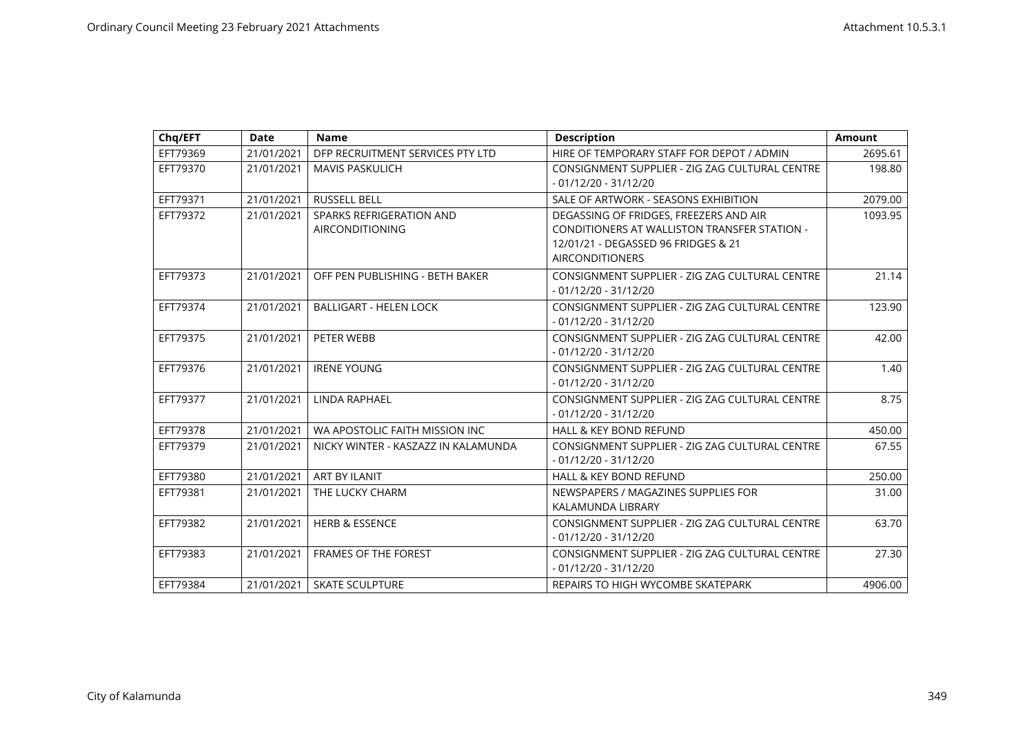| Chq/EFT  | <b>Date</b> | <b>Name</b>                                        | <b>Description</b>                                                                                                                                      | <b>Amount</b> |
|----------|-------------|----------------------------------------------------|---------------------------------------------------------------------------------------------------------------------------------------------------------|---------------|
| EFT79369 | 21/01/2021  | DFP RECRUITMENT SERVICES PTY LTD                   | HIRE OF TEMPORARY STAFF FOR DEPOT / ADMIN                                                                                                               | 2695.61       |
| EFT79370 | 21/01/2021  | <b>MAVIS PASKULICH</b>                             | CONSIGNMENT SUPPLIER - ZIG ZAG CULTURAL CENTRE<br>$-01/12/20 - 31/12/20$                                                                                | 198.80        |
| EFT79371 | 21/01/2021  | <b>RUSSELL BELL</b>                                | SALE OF ARTWORK - SEASONS EXHIBITION                                                                                                                    | 2079.00       |
| EFT79372 | 21/01/2021  | SPARKS REFRIGERATION AND<br><b>AIRCONDITIONING</b> | DEGASSING OF FRIDGES, FREEZERS AND AIR<br>CONDITIONERS AT WALLISTON TRANSFER STATION -<br>12/01/21 - DEGASSED 96 FRIDGES & 21<br><b>AIRCONDITIONERS</b> | 1093.95       |
| EFT79373 | 21/01/2021  | OFF PEN PUBLISHING - BETH BAKER                    | CONSIGNMENT SUPPLIER - ZIG ZAG CULTURAL CENTRE<br>$-01/12/20 - 31/12/20$                                                                                | 21.14         |
| EFT79374 | 21/01/2021  | <b>BALLIGART - HELEN LOCK</b>                      | CONSIGNMENT SUPPLIER - ZIG ZAG CULTURAL CENTRE<br>$-01/12/20 - 31/12/20$                                                                                | 123.90        |
| EFT79375 | 21/01/2021  | PETER WEBB                                         | CONSIGNMENT SUPPLIER - ZIG ZAG CULTURAL CENTRE<br>$-01/12/20 - 31/12/20$                                                                                | 42.00         |
| EFT79376 | 21/01/2021  | <b>IRENE YOUNG</b>                                 | CONSIGNMENT SUPPLIER - ZIG ZAG CULTURAL CENTRE<br>$-01/12/20 - 31/12/20$                                                                                | 1.40          |
| EFT79377 | 21/01/2021  | <b>LINDA RAPHAEL</b>                               | CONSIGNMENT SUPPLIER - ZIG ZAG CULTURAL CENTRE<br>- 01/12/20 - 31/12/20                                                                                 | 8.75          |
| EFT79378 | 21/01/2021  | WA APOSTOLIC FAITH MISSION INC                     | <b>HALL &amp; KEY BOND REFUND</b>                                                                                                                       | 450.00        |
| EFT79379 | 21/01/2021  | NICKY WINTER - KASZAZZ IN KALAMUNDA                | CONSIGNMENT SUPPLIER - ZIG ZAG CULTURAL CENTRE<br>$-01/12/20 - 31/12/20$                                                                                | 67.55         |
| EFT79380 | 21/01/2021  | ART BY ILANIT                                      | <b>HALL &amp; KEY BOND REFUND</b>                                                                                                                       | 250.00        |
| EFT79381 | 21/01/2021  | THE LUCKY CHARM                                    | NEWSPAPERS / MAGAZINES SUPPLIES FOR<br>KALAMUNDA LIBRARY                                                                                                | 31.00         |
| EFT79382 | 21/01/2021  | <b>HERB &amp; ESSENCE</b>                          | CONSIGNMENT SUPPLIER - ZIG ZAG CULTURAL CENTRE<br>$-01/12/20 - 31/12/20$                                                                                | 63.70         |
| EFT79383 | 21/01/2021  | <b>FRAMES OF THE FOREST</b>                        | CONSIGNMENT SUPPLIER - ZIG ZAG CULTURAL CENTRE<br>$-01/12/20 - 31/12/20$                                                                                | 27.30         |
| EFT79384 | 21/01/2021  | <b>SKATE SCULPTURE</b>                             | REPAIRS TO HIGH WYCOMBE SKATEPARK                                                                                                                       | 4906.00       |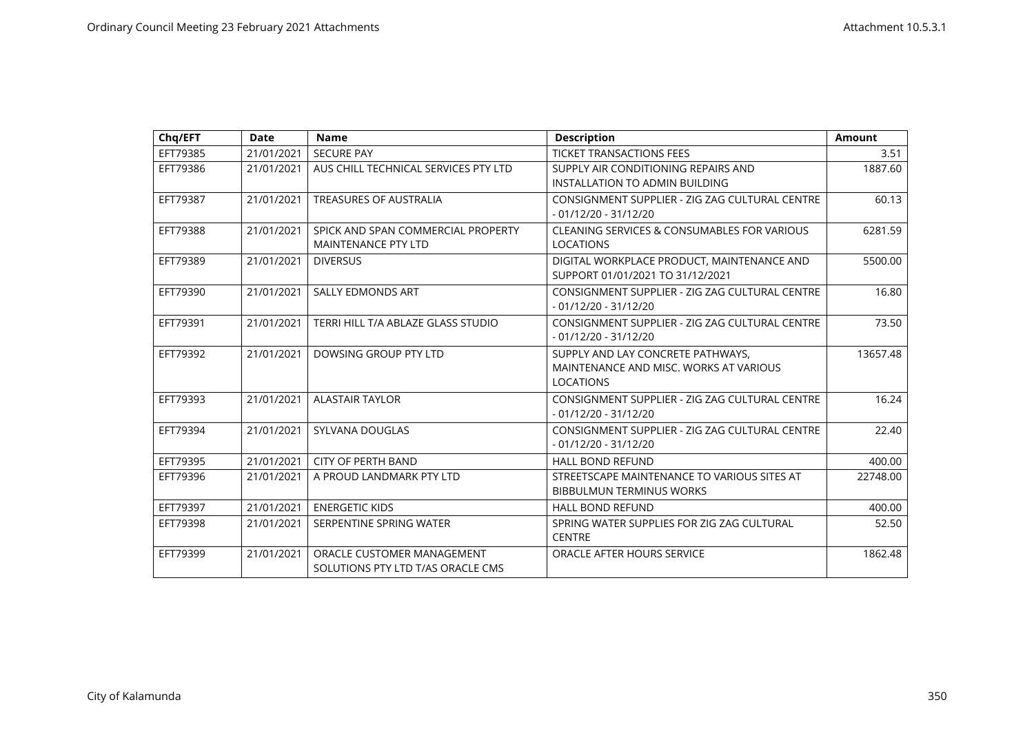| Chq/EFT  | <b>Date</b> | <b>Name</b>                                                      | <b>Description</b>                                                                              | <b>Amount</b> |
|----------|-------------|------------------------------------------------------------------|-------------------------------------------------------------------------------------------------|---------------|
| EFT79385 | 21/01/2021  | <b>SECURE PAY</b>                                                | <b>TICKET TRANSACTIONS FEES</b>                                                                 | 3.51          |
| EFT79386 | 21/01/2021  | AUS CHILL TECHNICAL SERVICES PTY LTD                             | SUPPLY AIR CONDITIONING REPAIRS AND<br>INSTALLATION TO ADMIN BUILDING                           | 1887.60       |
| EFT79387 | 21/01/2021  | <b>TREASURES OF AUSTRALIA</b>                                    | CONSIGNMENT SUPPLIER - ZIG ZAG CULTURAL CENTRE<br>$-01/12/20 - 31/12/20$                        | 60.13         |
| EFT79388 | 21/01/2021  | SPICK AND SPAN COMMERCIAL PROPERTY<br><b>MAINTENANCE PTY LTD</b> | <b>CLEANING SERVICES &amp; CONSUMABLES FOR VARIOUS</b><br><b>LOCATIONS</b>                      | 6281.59       |
| EFT79389 | 21/01/2021  | <b>DIVERSUS</b>                                                  | DIGITAL WORKPLACE PRODUCT, MAINTENANCE AND<br>SUPPORT 01/01/2021 TO 31/12/2021                  | 5500.00       |
| EFT79390 | 21/01/2021  | <b>SALLY EDMONDS ART</b>                                         | CONSIGNMENT SUPPLIER - ZIG ZAG CULTURAL CENTRE<br>$-01/12/20 - 31/12/20$                        | 16.80         |
| EFT79391 | 21/01/2021  | TERRI HILL T/A ABLAZE GLASS STUDIO                               | CONSIGNMENT SUPPLIER - ZIG ZAG CULTURAL CENTRE<br>$-01/12/20 - 31/12/20$                        | 73.50         |
| EFT79392 | 21/01/2021  | DOWSING GROUP PTY LTD                                            | SUPPLY AND LAY CONCRETE PATHWAYS,<br>MAINTENANCE AND MISC. WORKS AT VARIOUS<br><b>LOCATIONS</b> | 13657.48      |
| EFT79393 | 21/01/2021  | <b>ALASTAIR TAYLOR</b>                                           | CONSIGNMENT SUPPLIER - ZIG ZAG CULTURAL CENTRE<br>$-01/12/20 - 31/12/20$                        | 16.24         |
| EFT79394 | 21/01/2021  | SYLVANA DOUGLAS                                                  | CONSIGNMENT SUPPLIER - ZIG ZAG CULTURAL CENTRE<br>$-01/12/20 - 31/12/20$                        | 22.40         |
| EFT79395 | 21/01/2021  | <b>CITY OF PERTH BAND</b>                                        | <b>HALL BOND REFUND</b>                                                                         | 400.00        |
| EFT79396 | 21/01/2021  | A PROUD LANDMARK PTY LTD                                         | STREETSCAPE MAINTENANCE TO VARIOUS SITES AT<br><b>BIBBULMUN TERMINUS WORKS</b>                  | 22748.00      |
| EFT79397 | 21/01/2021  | <b>ENERGETIC KIDS</b>                                            | <b>HALL BOND REFUND</b>                                                                         | 400.00        |
| EFT79398 | 21/01/2021  | SERPENTINE SPRING WATER                                          | SPRING WATER SUPPLIES FOR ZIG ZAG CULTURAL<br><b>CENTRE</b>                                     | 52.50         |
| EFT79399 | 21/01/2021  | ORACLE CUSTOMER MANAGEMENT<br>SOLUTIONS PTY LTD T/AS ORACLE CMS  | ORACLE AFTER HOURS SERVICE                                                                      | 1862.48       |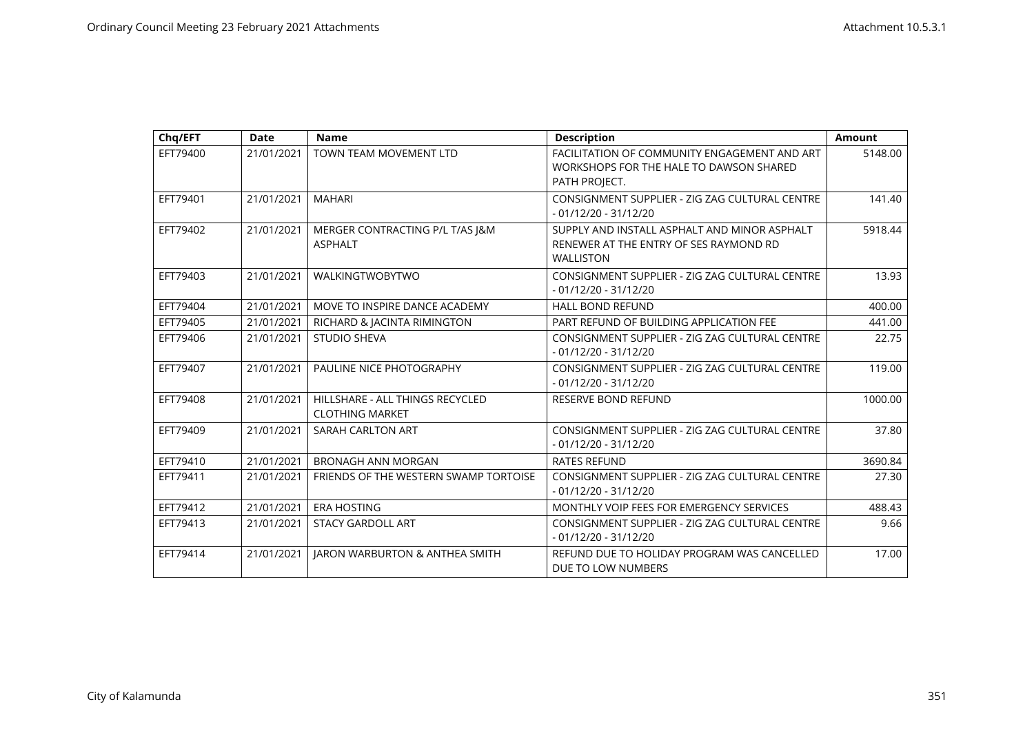| Chq/EFT  | <b>Date</b> | <b>Name</b>                                               | <b>Description</b>                                                                                         | <b>Amount</b> |
|----------|-------------|-----------------------------------------------------------|------------------------------------------------------------------------------------------------------------|---------------|
| EFT79400 | 21/01/2021  | TOWN TEAM MOVEMENT LTD                                    | FACILITATION OF COMMUNITY ENGAGEMENT AND ART<br>WORKSHOPS FOR THE HALE TO DAWSON SHARED<br>PATH PROJECT.   | 5148.00       |
| EFT79401 | 21/01/2021  | <b>MAHARI</b>                                             | CONSIGNMENT SUPPLIER - ZIG ZAG CULTURAL CENTRE<br>$-01/12/20 - 31/12/20$                                   | 141.40        |
| EFT79402 | 21/01/2021  | MERGER CONTRACTING P/L T/AS J&M<br><b>ASPHALT</b>         | SUPPLY AND INSTALL ASPHALT AND MINOR ASPHALT<br>RENEWER AT THE ENTRY OF SES RAYMOND RD<br><b>WALLISTON</b> | 5918.44       |
| EFT79403 | 21/01/2021  | <b>WALKINGTWOBYTWO</b>                                    | CONSIGNMENT SUPPLIER - ZIG ZAG CULTURAL CENTRE<br>$-01/12/20 - 31/12/20$                                   | 13.93         |
| EFT79404 | 21/01/2021  | MOVE TO INSPIRE DANCE ACADEMY                             | <b>HALL BOND REFUND</b>                                                                                    | 400.00        |
| EFT79405 | 21/01/2021  | RICHARD & JACINTA RIMINGTON                               | PART REFUND OF BUILDING APPLICATION FEE                                                                    | 441.00        |
| EFT79406 | 21/01/2021  | <b>STUDIO SHEVA</b>                                       | CONSIGNMENT SUPPLIER - ZIG ZAG CULTURAL CENTRE<br>$-01/12/20 - 31/12/20$                                   | 22.75         |
| EFT79407 | 21/01/2021  | PAULINE NICE PHOTOGRAPHY                                  | CONSIGNMENT SUPPLIER - ZIG ZAG CULTURAL CENTRE<br>$-01/12/20 - 31/12/20$                                   | 119.00        |
| EFT79408 | 21/01/2021  | HILLSHARE - ALL THINGS RECYCLED<br><b>CLOTHING MARKET</b> | <b>RESERVE BOND REFUND</b>                                                                                 | 1000.00       |
| EFT79409 | 21/01/2021  | SARAH CARLTON ART                                         | CONSIGNMENT SUPPLIER - ZIG ZAG CULTURAL CENTRE<br>$-01/12/20 - 31/12/20$                                   | 37.80         |
| EFT79410 | 21/01/2021  | <b>BRONAGH ANN MORGAN</b>                                 | <b>RATES REFUND</b>                                                                                        | 3690.84       |
| EFT79411 | 21/01/2021  | FRIENDS OF THE WESTERN SWAMP TORTOISE                     | CONSIGNMENT SUPPLIER - ZIG ZAG CULTURAL CENTRE<br>$-01/12/20 - 31/12/20$                                   | 27.30         |
| EFT79412 | 21/01/2021  | <b>ERA HOSTING</b>                                        | MONTHLY VOIP FEES FOR EMERGENCY SERVICES                                                                   | 488.43        |
| EFT79413 | 21/01/2021  | <b>STACY GARDOLL ART</b>                                  | CONSIGNMENT SUPPLIER - ZIG ZAG CULTURAL CENTRE<br>$-01/12/20 - 31/12/20$                                   | 9.66          |
| EFT79414 | 21/01/2021  | JARON WARBURTON & ANTHEA SMITH                            | REFUND DUE TO HOLIDAY PROGRAM WAS CANCELLED<br>DUE TO LOW NUMBERS                                          | 17.00         |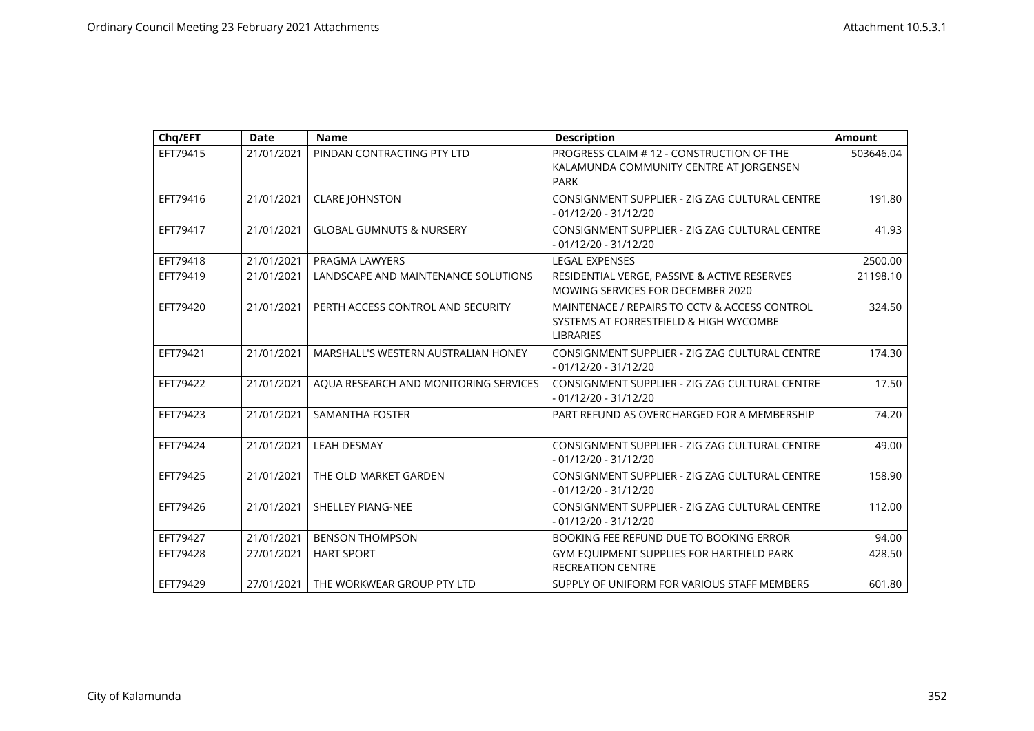| Chq/EFT  | <b>Date</b> | <b>Name</b>                           | <b>Description</b>                                                                                          | <b>Amount</b> |
|----------|-------------|---------------------------------------|-------------------------------------------------------------------------------------------------------------|---------------|
| EFT79415 | 21/01/2021  | PINDAN CONTRACTING PTY LTD            | PROGRESS CLAIM # 12 - CONSTRUCTION OF THE<br>KALAMUNDA COMMUNITY CENTRE AT JORGENSEN<br><b>PARK</b>         | 503646.04     |
| EFT79416 | 21/01/2021  | <b>CLARE JOHNSTON</b>                 | CONSIGNMENT SUPPLIER - ZIG ZAG CULTURAL CENTRE<br>$-01/12/20 - 31/12/20$                                    | 191.80        |
| EFT79417 | 21/01/2021  | <b>GLOBAL GUMNUTS &amp; NURSERY</b>   | CONSIGNMENT SUPPLIER - ZIG ZAG CULTURAL CENTRE<br>$-01/12/20 - 31/12/20$                                    | 41.93         |
| EFT79418 | 21/01/2021  | PRAGMA LAWYERS                        | <b>LEGAL EXPENSES</b>                                                                                       | 2500.00       |
| EFT79419 | 21/01/2021  | LANDSCAPE AND MAINTENANCE SOLUTIONS   | RESIDENTIAL VERGE, PASSIVE & ACTIVE RESERVES<br>MOWING SERVICES FOR DECEMBER 2020                           | 21198.10      |
| EFT79420 | 21/01/2021  | PERTH ACCESS CONTROL AND SECURITY     | MAINTENACE / REPAIRS TO CCTV & ACCESS CONTROL<br>SYSTEMS AT FORRESTFIELD & HIGH WYCOMBE<br><b>LIBRARIES</b> | 324.50        |
| EFT79421 | 21/01/2021  | MARSHALL'S WESTERN AUSTRALIAN HONEY   | CONSIGNMENT SUPPLIER - ZIG ZAG CULTURAL CENTRE<br>$-01/12/20 - 31/12/20$                                    | 174.30        |
| EFT79422 | 21/01/2021  | AQUA RESEARCH AND MONITORING SERVICES | CONSIGNMENT SUPPLIER - ZIG ZAG CULTURAL CENTRE<br>$-01/12/20 - 31/12/20$                                    | 17.50         |
| EFT79423 | 21/01/2021  | <b>SAMANTHA FOSTER</b>                | PART REFUND AS OVERCHARGED FOR A MEMBERSHIP                                                                 | 74.20         |
| EFT79424 | 21/01/2021  | <b>LEAH DESMAY</b>                    | CONSIGNMENT SUPPLIER - ZIG ZAG CULTURAL CENTRE<br>$-01/12/20 - 31/12/20$                                    | 49.00         |
| EFT79425 | 21/01/2021  | THE OLD MARKET GARDEN                 | CONSIGNMENT SUPPLIER - ZIG ZAG CULTURAL CENTRE<br>$-01/12/20 - 31/12/20$                                    | 158.90        |
| EFT79426 | 21/01/2021  | <b>SHELLEY PIANG-NEE</b>              | CONSIGNMENT SUPPLIER - ZIG ZAG CULTURAL CENTRE<br>$-01/12/20 - 31/12/20$                                    | 112.00        |
| EFT79427 | 21/01/2021  | <b>BENSON THOMPSON</b>                | BOOKING FEE REFUND DUE TO BOOKING ERROR                                                                     | 94.00         |
| EFT79428 | 27/01/2021  | <b>HART SPORT</b>                     | GYM EQUIPMENT SUPPLIES FOR HARTFIELD PARK<br><b>RECREATION CENTRE</b>                                       | 428.50        |
| EFT79429 | 27/01/2021  | THE WORKWEAR GROUP PTY LTD            | SUPPLY OF UNIFORM FOR VARIOUS STAFF MEMBERS                                                                 | 601.80        |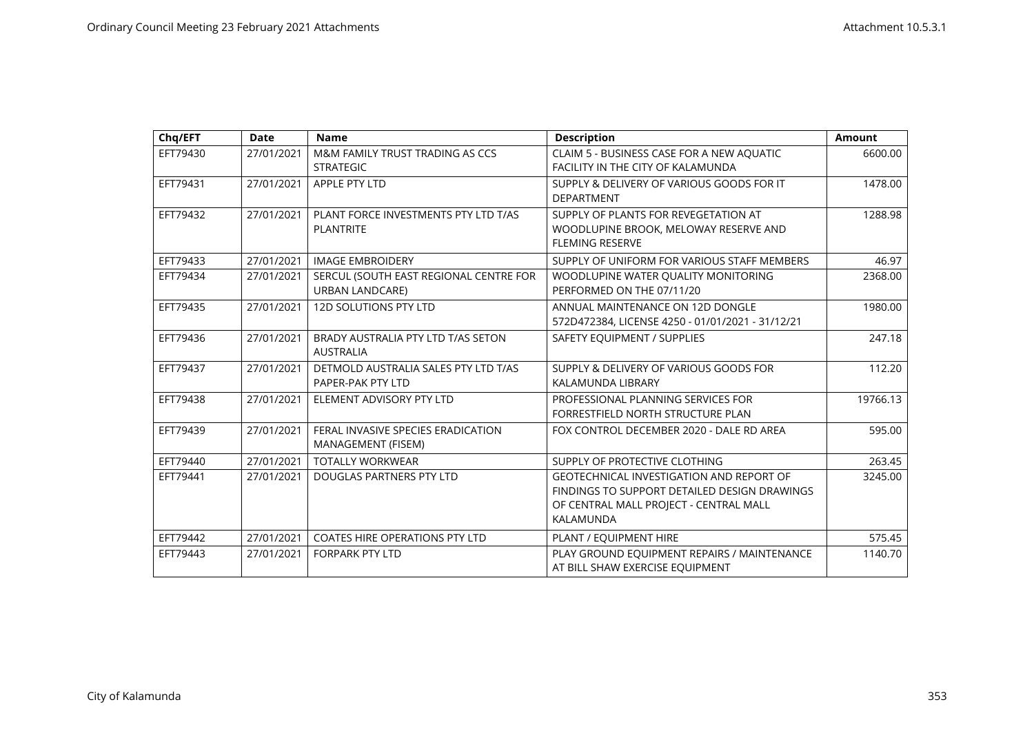| Chq/EFT  | <b>Date</b> | <b>Name</b>                                                      | <b>Description</b>                                                                                                                                     | <b>Amount</b> |
|----------|-------------|------------------------------------------------------------------|--------------------------------------------------------------------------------------------------------------------------------------------------------|---------------|
| EFT79430 | 27/01/2021  | M&M FAMILY TRUST TRADING AS CCS<br><b>STRATEGIC</b>              | CLAIM 5 - BUSINESS CASE FOR A NEW AQUATIC<br>FACILITY IN THE CITY OF KALAMUNDA                                                                         | 6600.00       |
| EFT79431 | 27/01/2021  | APPLE PTY LTD                                                    | SUPPLY & DELIVERY OF VARIOUS GOODS FOR IT<br><b>DEPARTMENT</b>                                                                                         | 1478.00       |
| EFT79432 | 27/01/2021  | PLANT FORCE INVESTMENTS PTY LTD T/AS<br><b>PLANTRITE</b>         | SUPPLY OF PLANTS FOR REVEGETATION AT<br>WOODLUPINE BROOK, MELOWAY RESERVE AND<br><b>FLEMING RESERVE</b>                                                | 1288.98       |
| EFT79433 | 27/01/2021  | <b>IMAGE EMBROIDERY</b>                                          | SUPPLY OF UNIFORM FOR VARIOUS STAFF MEMBERS                                                                                                            | 46.97         |
| EFT79434 | 27/01/2021  | SERCUL (SOUTH EAST REGIONAL CENTRE FOR<br><b>URBAN LANDCARE)</b> | WOODLUPINE WATER QUALITY MONITORING<br>PERFORMED ON THE 07/11/20                                                                                       | 2368.00       |
| EFT79435 | 27/01/2021  | <b>12D SOLUTIONS PTY LTD</b>                                     | ANNUAL MAINTENANCE ON 12D DONGLE<br>572D472384, LICENSE 4250 - 01/01/2021 - 31/12/21                                                                   | 1980.00       |
| EFT79436 | 27/01/2021  | BRADY AUSTRALIA PTY LTD T/AS SETON<br><b>AUSTRALIA</b>           | SAFETY EQUIPMENT / SUPPLIES                                                                                                                            | 247.18        |
| EFT79437 | 27/01/2021  | DETMOLD AUSTRALIA SALES PTY LTD T/AS<br>PAPER-PAK PTY LTD        | SUPPLY & DELIVERY OF VARIOUS GOODS FOR<br>KALAMUNDA LIBRARY                                                                                            | 112.20        |
| EFT79438 | 27/01/2021  | ELEMENT ADVISORY PTY LTD                                         | PROFESSIONAL PLANNING SERVICES FOR<br>FORRESTFIELD NORTH STRUCTURE PLAN                                                                                | 19766.13      |
| EFT79439 | 27/01/2021  | FERAL INVASIVE SPECIES ERADICATION<br>MANAGEMENT (FISEM)         | FOX CONTROL DECEMBER 2020 - DALE RD AREA                                                                                                               | 595.00        |
| EFT79440 | 27/01/2021  | <b>TOTALLY WORKWEAR</b>                                          | SUPPLY OF PROTECTIVE CLOTHING                                                                                                                          | 263.45        |
| EFT79441 | 27/01/2021  | DOUGLAS PARTNERS PTY LTD                                         | <b>GEOTECHNICAL INVESTIGATION AND REPORT OF</b><br>FINDINGS TO SUPPORT DETAILED DESIGN DRAWINGS<br>OF CENTRAL MALL PROJECT - CENTRAL MALL<br>KALAMUNDA | 3245.00       |
| EFT79442 | 27/01/2021  | <b>COATES HIRE OPERATIONS PTY LTD</b>                            | PLANT / EQUIPMENT HIRE                                                                                                                                 | 575.45        |
| EFT79443 | 27/01/2021  | <b>FORPARK PTY LTD</b>                                           | PLAY GROUND EQUIPMENT REPAIRS / MAINTENANCE<br>AT BILL SHAW EXERCISE EQUIPMENT                                                                         | 1140.70       |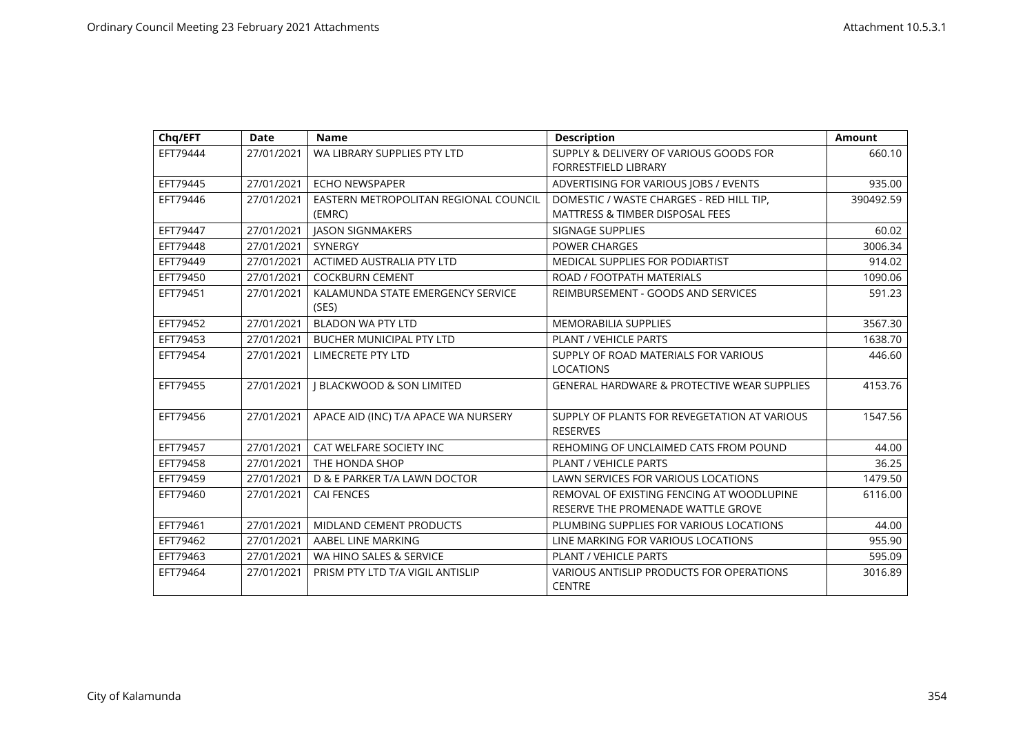| Chq/EFT  | <b>Date</b> | <b>Name</b>                                     | <b>Description</b>                                                                     | <b>Amount</b> |
|----------|-------------|-------------------------------------------------|----------------------------------------------------------------------------------------|---------------|
| EFT79444 | 27/01/2021  | WA LIBRARY SUPPLIES PTY LTD                     | SUPPLY & DELIVERY OF VARIOUS GOODS FOR<br><b>FORRESTFIELD LIBRARY</b>                  | 660.10        |
| EFT79445 | 27/01/2021  | <b>ECHO NEWSPAPER</b>                           | ADVERTISING FOR VARIOUS JOBS / EVENTS                                                  | 935.00        |
| EFT79446 | 27/01/2021  | EASTERN METROPOLITAN REGIONAL COUNCIL<br>(EMRC) | DOMESTIC / WASTE CHARGES - RED HILL TIP,<br><b>MATTRESS &amp; TIMBER DISPOSAL FEES</b> | 390492.59     |
| EFT79447 | 27/01/2021  | <b>JASON SIGNMAKERS</b>                         | SIGNAGE SUPPLIES                                                                       | 60.02         |
| EFT79448 | 27/01/2021  | <b>SYNERGY</b>                                  | <b>POWER CHARGES</b>                                                                   | 3006.34       |
| EFT79449 | 27/01/2021  | <b>ACTIMED AUSTRALIA PTY LTD</b>                | <b>MEDICAL SUPPLIES FOR PODIARTIST</b>                                                 | 914.02        |
| EFT79450 | 27/01/2021  | <b>COCKBURN CEMENT</b>                          | ROAD / FOOTPATH MATERIALS                                                              | 1090.06       |
| EFT79451 | 27/01/2021  | KALAMUNDA STATE EMERGENCY SERVICE<br>(SES)      | REIMBURSEMENT - GOODS AND SERVICES                                                     | 591.23        |
| EFT79452 | 27/01/2021  | <b>BLADON WA PTY LTD</b>                        | <b>MEMORABILIA SUPPLIES</b>                                                            | 3567.30       |
| EFT79453 | 27/01/2021  | <b>BUCHER MUNICIPAL PTY LTD</b>                 | PLANT / VEHICLE PARTS                                                                  | 1638.70       |
| EFT79454 | 27/01/2021  | <b>LIMECRETE PTY LTD</b>                        | SUPPLY OF ROAD MATERIALS FOR VARIOUS<br><b>LOCATIONS</b>                               | 446.60        |
| EFT79455 | 27/01/2021  | <b>J BLACKWOOD &amp; SON LIMITED</b>            | <b>GENERAL HARDWARE &amp; PROTECTIVE WEAR SUPPLIES</b>                                 | 4153.76       |
| EFT79456 | 27/01/2021  | APACE AID (INC) T/A APACE WA NURSERY            | SUPPLY OF PLANTS FOR REVEGETATION AT VARIOUS<br><b>RESERVES</b>                        | 1547.56       |
| EFT79457 | 27/01/2021  | CAT WELFARE SOCIETY INC                         | REHOMING OF UNCLAIMED CATS FROM POUND                                                  | 44.00         |
| EFT79458 | 27/01/2021  | THE HONDA SHOP                                  | <b>PLANT / VEHICLE PARTS</b>                                                           | 36.25         |
| EFT79459 | 27/01/2021  | D & E PARKER T/A LAWN DOCTOR                    | LAWN SERVICES FOR VARIOUS LOCATIONS                                                    | 1479.50       |
| EFT79460 | 27/01/2021  | <b>CAI FENCES</b>                               | REMOVAL OF EXISTING FENCING AT WOODLUPINE<br>RESERVE THE PROMENADE WATTLE GROVE        | 6116.00       |
| EFT79461 | 27/01/2021  | <b>MIDLAND CEMENT PRODUCTS</b>                  | PLUMBING SUPPLIES FOR VARIOUS LOCATIONS                                                | 44.00         |
| EFT79462 | 27/01/2021  | AABEL LINE MARKING                              | LINE MARKING FOR VARIOUS LOCATIONS                                                     | 955.90        |
| EFT79463 | 27/01/2021  | WA HINO SALES & SERVICE                         | PLANT / VEHICLE PARTS                                                                  | 595.09        |
| EFT79464 | 27/01/2021  | PRISM PTY LTD T/A VIGIL ANTISLIP                | VARIOUS ANTISLIP PRODUCTS FOR OPERATIONS<br><b>CENTRE</b>                              | 3016.89       |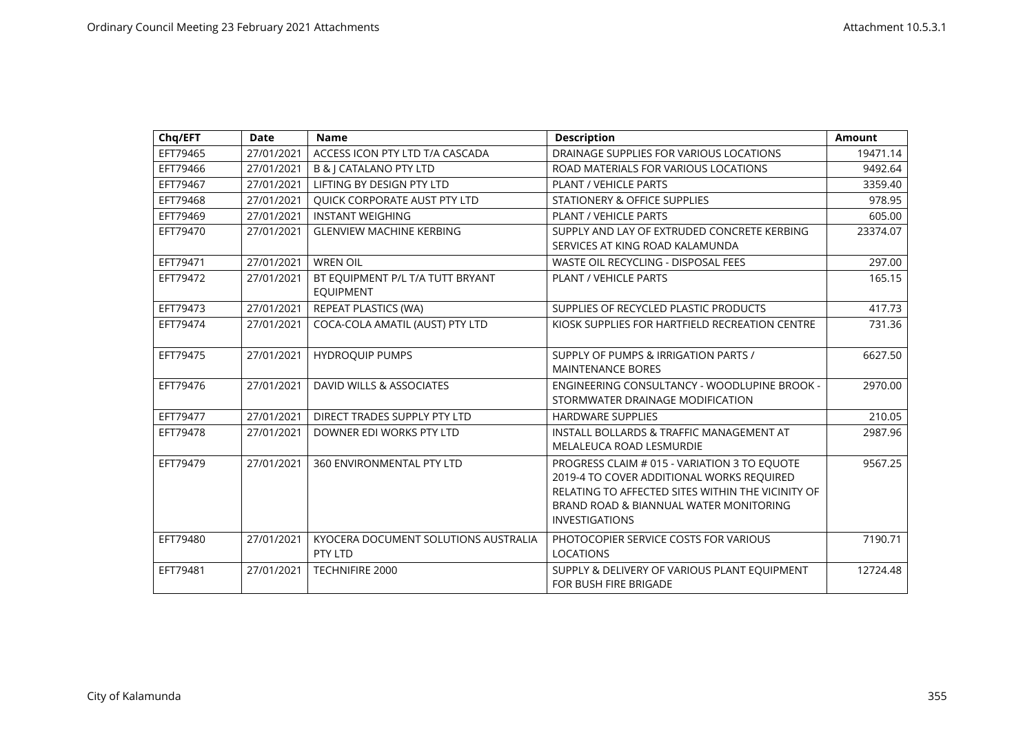| Chq/EFT  | <b>Date</b> | <b>Name</b>                                          | <b>Description</b>                                                                                                                                                                                                | <b>Amount</b> |
|----------|-------------|------------------------------------------------------|-------------------------------------------------------------------------------------------------------------------------------------------------------------------------------------------------------------------|---------------|
| EFT79465 | 27/01/2021  | ACCESS ICON PTY LTD T/A CASCADA                      | DRAINAGE SUPPLIES FOR VARIOUS LOCATIONS                                                                                                                                                                           | 19471.14      |
| EFT79466 | 27/01/2021  | <b>B &amp; J CATALANO PTY LTD</b>                    | ROAD MATERIALS FOR VARIOUS LOCATIONS                                                                                                                                                                              | 9492.64       |
| EFT79467 | 27/01/2021  | LIFTING BY DESIGN PTY LTD                            | <b>PLANT / VEHICLE PARTS</b>                                                                                                                                                                                      | 3359.40       |
| EFT79468 | 27/01/2021  | QUICK CORPORATE AUST PTY LTD                         | STATIONERY & OFFICE SUPPLIES                                                                                                                                                                                      | 978.95        |
| EFT79469 | 27/01/2021  | <b>INSTANT WEIGHING</b>                              | <b>PLANT / VEHICLE PARTS</b>                                                                                                                                                                                      | 605.00        |
| EFT79470 | 27/01/2021  | <b>GLENVIEW MACHINE KERBING</b>                      | SUPPLY AND LAY OF EXTRUDED CONCRETE KERBING<br>SERVICES AT KING ROAD KALAMUNDA                                                                                                                                    | 23374.07      |
| EFT79471 | 27/01/2021  | <b>WREN OIL</b>                                      | <b>WASTE OIL RECYCLING - DISPOSAL FEES</b>                                                                                                                                                                        | 297.00        |
| EFT79472 | 27/01/2021  | BT EQUIPMENT P/L T/A TUTT BRYANT<br><b>EQUIPMENT</b> | <b>PLANT / VEHICLE PARTS</b>                                                                                                                                                                                      | 165.15        |
| EFT79473 | 27/01/2021  | REPEAT PLASTICS (WA)                                 | SUPPLIES OF RECYCLED PLASTIC PRODUCTS                                                                                                                                                                             | 417.73        |
| EFT79474 | 27/01/2021  | COCA-COLA AMATIL (AUST) PTY LTD                      | KIOSK SUPPLIES FOR HARTFIELD RECREATION CENTRE                                                                                                                                                                    | 731.36        |
| EFT79475 | 27/01/2021  | <b>HYDROQUIP PUMPS</b>                               | SUPPLY OF PUMPS & IRRIGATION PARTS /<br><b>MAINTENANCE BORES</b>                                                                                                                                                  | 6627.50       |
| EFT79476 | 27/01/2021  | DAVID WILLS & ASSOCIATES                             | <b>ENGINEERING CONSULTANCY - WOODLUPINE BROOK -</b><br>STORMWATER DRAINAGE MODIFICATION                                                                                                                           | 2970.00       |
| EFT79477 | 27/01/2021  | DIRECT TRADES SUPPLY PTY LTD                         | <b>HARDWARE SUPPLIES</b>                                                                                                                                                                                          | 210.05        |
| EFT79478 | 27/01/2021  | DOWNER EDI WORKS PTY LTD                             | <b>INSTALL BOLLARDS &amp; TRAFFIC MANAGEMENT AT</b><br>MELALEUCA ROAD LESMURDIE                                                                                                                                   | 2987.96       |
| EFT79479 | 27/01/2021  | <b>360 ENVIRONMENTAL PTY LTD</b>                     | PROGRESS CLAIM # 015 - VARIATION 3 TO EQUOTE<br>2019-4 TO COVER ADDITIONAL WORKS REQUIRED<br>RELATING TO AFFECTED SITES WITHIN THE VICINITY OF<br>BRAND ROAD & BIANNUAL WATER MONITORING<br><b>INVESTIGATIONS</b> | 9567.25       |
| EFT79480 | 27/01/2021  | KYOCERA DOCUMENT SOLUTIONS AUSTRALIA<br>PTY LTD      | PHOTOCOPIER SERVICE COSTS FOR VARIOUS<br><b>LOCATIONS</b>                                                                                                                                                         | 7190.71       |
| EFT79481 | 27/01/2021  | TECHNIFIRE 2000                                      | SUPPLY & DELIVERY OF VARIOUS PLANT EQUIPMENT<br>FOR BUSH FIRE BRIGADE                                                                                                                                             | 12724.48      |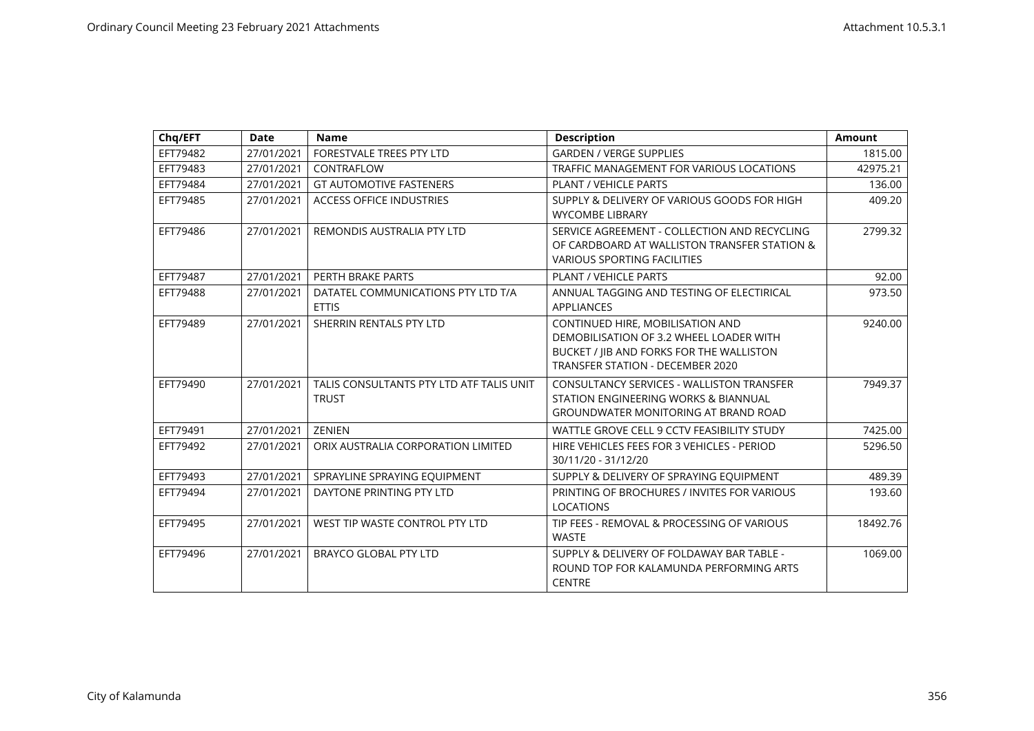| Chq/EFT  | <b>Date</b> | <b>Name</b>                                              | <b>Description</b>                                                                                                                                                 | <b>Amount</b> |
|----------|-------------|----------------------------------------------------------|--------------------------------------------------------------------------------------------------------------------------------------------------------------------|---------------|
| EFT79482 | 27/01/2021  | FORESTVALE TREES PTY LTD                                 | <b>GARDEN / VERGE SUPPLIES</b>                                                                                                                                     | 1815.00       |
| EFT79483 | 27/01/2021  | CONTRAFLOW                                               | TRAFFIC MANAGEMENT FOR VARIOUS LOCATIONS                                                                                                                           | 42975.21      |
| EFT79484 | 27/01/2021  | <b>GT AUTOMOTIVE FASTENERS</b>                           | <b>PLANT / VEHICLE PARTS</b>                                                                                                                                       | 136.00        |
| EFT79485 | 27/01/2021  | <b>ACCESS OFFICE INDUSTRIES</b>                          | SUPPLY & DELIVERY OF VARIOUS GOODS FOR HIGH<br><b>WYCOMBE LIBRARY</b>                                                                                              | 409.20        |
| EFT79486 | 27/01/2021  | REMONDIS AUSTRALIA PTY LTD                               | SERVICE AGREEMENT - COLLECTION AND RECYCLING<br>OF CARDBOARD AT WALLISTON TRANSFER STATION &<br><b>VARIOUS SPORTING FACILITIES</b>                                 | 2799.32       |
| EFT79487 | 27/01/2021  | PERTH BRAKE PARTS                                        | <b>PLANT / VEHICLE PARTS</b>                                                                                                                                       | 92.00         |
| EFT79488 | 27/01/2021  | DATATEL COMMUNICATIONS PTY LTD T/A<br><b>ETTIS</b>       | ANNUAL TAGGING AND TESTING OF ELECTIRICAL<br><b>APPLIANCES</b>                                                                                                     | 973.50        |
| EFT79489 | 27/01/2021  | SHERRIN RENTALS PTY LTD                                  | CONTINUED HIRE, MOBILISATION AND<br>DEMOBILISATION OF 3.2 WHEEL LOADER WITH<br>BUCKET / JIB AND FORKS FOR THE WALLISTON<br><b>TRANSFER STATION - DECEMBER 2020</b> | 9240.00       |
| EFT79490 | 27/01/2021  | TALIS CONSULTANTS PTY LTD ATF TALIS UNIT<br><b>TRUST</b> | <b>CONSULTANCY SERVICES - WALLISTON TRANSFER</b><br>STATION ENGINEERING WORKS & BIANNUAL<br><b>GROUNDWATER MONITORING AT BRAND ROAD</b>                            | 7949.37       |
| EFT79491 | 27/01/2021  | <b>ZENIEN</b>                                            | WATTLE GROVE CELL 9 CCTV FEASIBILITY STUDY                                                                                                                         | 7425.00       |
| EFT79492 | 27/01/2021  | ORIX AUSTRALIA CORPORATION LIMITED                       | HIRE VEHICLES FEES FOR 3 VEHICLES - PERIOD<br>30/11/20 - 31/12/20                                                                                                  | 5296.50       |
| EFT79493 | 27/01/2021  | SPRAYLINE SPRAYING EQUIPMENT                             | SUPPLY & DELIVERY OF SPRAYING EQUIPMENT                                                                                                                            | 489.39        |
| EFT79494 | 27/01/2021  | DAYTONE PRINTING PTY LTD                                 | PRINTING OF BROCHURES / INVITES FOR VARIOUS<br><b>LOCATIONS</b>                                                                                                    | 193.60        |
| EFT79495 | 27/01/2021  | WEST TIP WASTE CONTROL PTY LTD                           | TIP FEES - REMOVAL & PROCESSING OF VARIOUS<br><b>WASTE</b>                                                                                                         | 18492.76      |
| EFT79496 | 27/01/2021  | BRAYCO GLOBAL PTY LTD                                    | SUPPLY & DELIVERY OF FOLDAWAY BAR TABLE -<br>ROUND TOP FOR KALAMUNDA PERFORMING ARTS<br><b>CENTRE</b>                                                              | 1069.00       |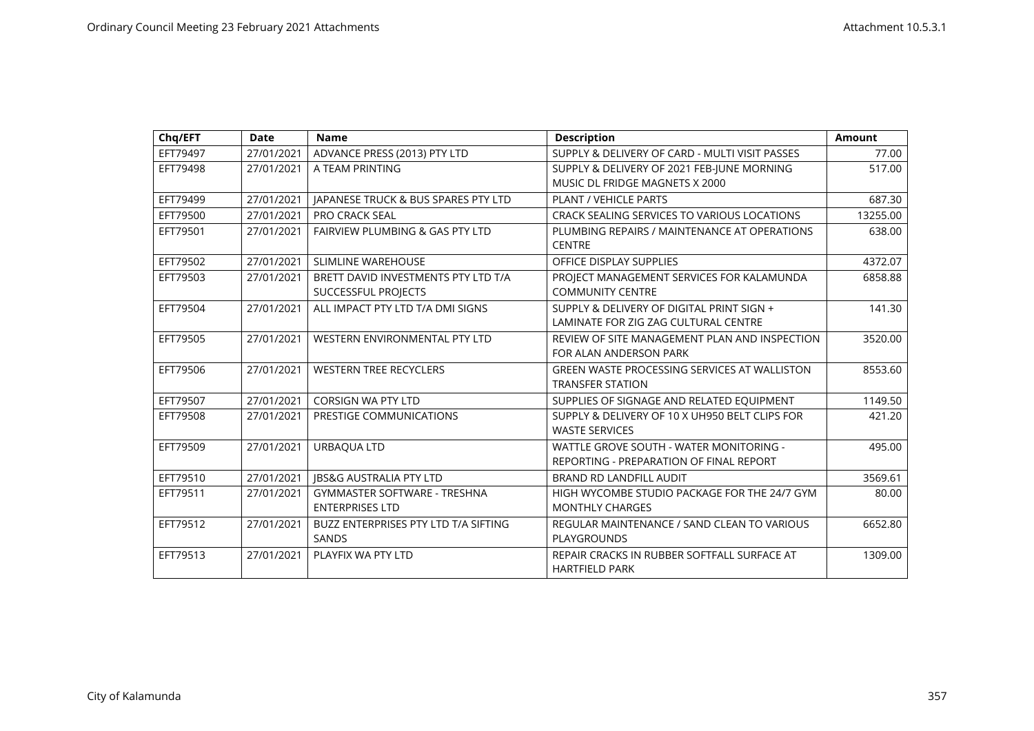| Chq/EFT  | <b>Date</b> | <b>Name</b>                                                   | <b>Description</b>                                                                 | <b>Amount</b> |
|----------|-------------|---------------------------------------------------------------|------------------------------------------------------------------------------------|---------------|
| EFT79497 | 27/01/2021  | ADVANCE PRESS (2013) PTY LTD                                  | SUPPLY & DELIVERY OF CARD - MULTI VISIT PASSES                                     | 77.00         |
| EFT79498 | 27/01/2021  | A TEAM PRINTING                                               | SUPPLY & DELIVERY OF 2021 FEB-JUNE MORNING<br>MUSIC DL FRIDGE MAGNETS X 2000       | 517.00        |
| EFT79499 | 27/01/2021  | <b>IAPANESE TRUCK &amp; BUS SPARES PTY LTD</b>                | <b>PLANT / VEHICLE PARTS</b>                                                       | 687.30        |
| EFT79500 | 27/01/2021  | <b>PRO CRACK SEAL</b>                                         | <b>CRACK SEALING SERVICES TO VARIOUS LOCATIONS</b>                                 | 13255.00      |
| EFT79501 | 27/01/2021  | <b>FAIRVIEW PLUMBING &amp; GAS PTY LTD</b>                    | PLUMBING REPAIRS / MAINTENANCE AT OPERATIONS<br><b>CENTRE</b>                      | 638.00        |
| EFT79502 | 27/01/2021  | SLIMLINE WAREHOUSE                                            | OFFICE DISPLAY SUPPLIES                                                            | 4372.07       |
| EFT79503 | 27/01/2021  | BRETT DAVID INVESTMENTS PTY LTD T/A<br>SUCCESSFUL PROJECTS    | PROJECT MANAGEMENT SERVICES FOR KALAMUNDA<br><b>COMMUNITY CENTRE</b>               | 6858.88       |
| EFT79504 | 27/01/2021  | ALL IMPACT PTY LTD T/A DMI SIGNS                              | SUPPLY & DELIVERY OF DIGITAL PRINT SIGN +<br>LAMINATE FOR ZIG ZAG CULTURAL CENTRE  | 141.30        |
| EFT79505 | 27/01/2021  | WESTERN ENVIRONMENTAL PTY LTD                                 | REVIEW OF SITE MANAGEMENT PLAN AND INSPECTION<br>FOR ALAN ANDERSON PARK            | 3520.00       |
| EFT79506 | 27/01/2021  | <b>WESTERN TREE RECYCLERS</b>                                 | GREEN WASTE PROCESSING SERVICES AT WALLISTON<br><b>TRANSFER STATION</b>            | 8553.60       |
| EFT79507 | 27/01/2021  | <b>CORSIGN WA PTY LTD</b>                                     | SUPPLIES OF SIGNAGE AND RELATED EQUIPMENT                                          | 1149.50       |
| EFT79508 | 27/01/2021  | PRESTIGE COMMUNICATIONS                                       | SUPPLY & DELIVERY OF 10 X UH950 BELT CLIPS FOR<br><b>WASTE SERVICES</b>            | 421.20        |
| EFT79509 | 27/01/2021  | URBAQUA LTD                                                   | WATTLE GROVE SOUTH - WATER MONITORING -<br>REPORTING - PREPARATION OF FINAL REPORT | 495.00        |
| EFT79510 | 27/01/2021  | <b>JBS&amp;G AUSTRALIA PTY LTD</b>                            | BRAND RD LANDFILL AUDIT                                                            | 3569.61       |
| EFT79511 | 27/01/2021  | <b>GYMMASTER SOFTWARE - TRESHNA</b><br><b>ENTERPRISES LTD</b> | HIGH WYCOMBE STUDIO PACKAGE FOR THE 24/7 GYM<br><b>MONTHLY CHARGES</b>             | 80.00         |
| EFT79512 | 27/01/2021  | BUZZ ENTERPRISES PTY LTD T/A SIFTING<br>SANDS                 | REGULAR MAINTENANCE / SAND CLEAN TO VARIOUS<br><b>PLAYGROUNDS</b>                  | 6652.80       |
| EFT79513 | 27/01/2021  | PLAYFIX WA PTY LTD                                            | REPAIR CRACKS IN RUBBER SOFTFALL SURFACE AT<br><b>HARTFIELD PARK</b>               | 1309.00       |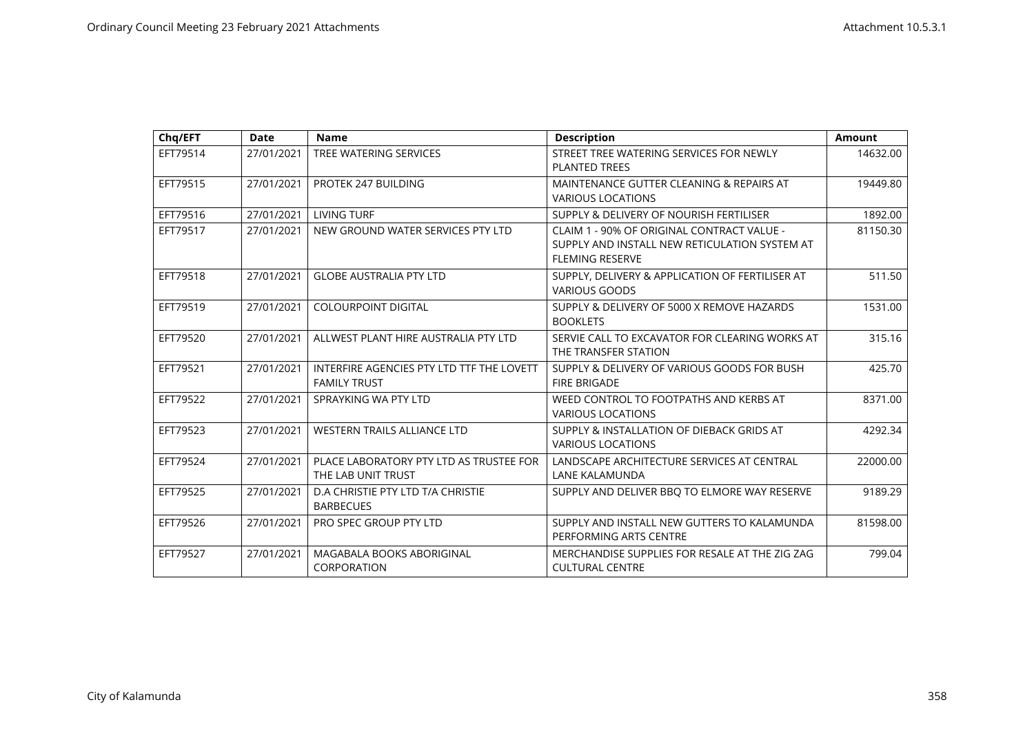| Chq/EFT  | <b>Date</b> | <b>Name</b>                                                      | <b>Description</b>                                                                                                    | <b>Amount</b> |
|----------|-------------|------------------------------------------------------------------|-----------------------------------------------------------------------------------------------------------------------|---------------|
| EFT79514 | 27/01/2021  | TREE WATERING SERVICES                                           | STREET TREE WATERING SERVICES FOR NEWLY<br><b>PLANTED TREES</b>                                                       | 14632.00      |
| EFT79515 | 27/01/2021  | PROTEK 247 BUILDING                                              | MAINTENANCE GUTTER CLEANING & REPAIRS AT<br><b>VARIOUS LOCATIONS</b>                                                  | 19449.80      |
| EFT79516 | 27/01/2021  | <b>LIVING TURF</b>                                               | SUPPLY & DELIVERY OF NOURISH FERTILISER                                                                               | 1892.00       |
| EFT79517 | 27/01/2021  | NEW GROUND WATER SERVICES PTY LTD                                | CLAIM 1 - 90% OF ORIGINAL CONTRACT VALUE -<br>SUPPLY AND INSTALL NEW RETICULATION SYSTEM AT<br><b>FLEMING RESERVE</b> | 81150.30      |
| EFT79518 | 27/01/2021  | <b>GLOBE AUSTRALIA PTY LTD</b>                                   | SUPPLY, DELIVERY & APPLICATION OF FERTILISER AT<br><b>VARIOUS GOODS</b>                                               | 511.50        |
| EFT79519 | 27/01/2021  | <b>COLOURPOINT DIGITAL</b>                                       | SUPPLY & DELIVERY OF 5000 X REMOVE HAZARDS<br><b>BOOKLETS</b>                                                         | 1531.00       |
| EFT79520 | 27/01/2021  | ALLWEST PLANT HIRE AUSTRALIA PTY LTD                             | SERVIE CALL TO EXCAVATOR FOR CLEARING WORKS AT<br>THE TRANSFER STATION                                                | 315.16        |
| EFT79521 | 27/01/2021  | INTERFIRE AGENCIES PTY LTD TTF THE LOVETT<br><b>FAMILY TRUST</b> | SUPPLY & DELIVERY OF VARIOUS GOODS FOR BUSH<br><b>FIRE BRIGADE</b>                                                    | 425.70        |
| EFT79522 | 27/01/2021  | SPRAYKING WA PTY LTD                                             | WEED CONTROL TO FOOTPATHS AND KERBS AT<br><b>VARIOUS LOCATIONS</b>                                                    | 8371.00       |
| EFT79523 | 27/01/2021  | <b>WESTERN TRAILS ALLIANCE LTD</b>                               | SUPPLY & INSTALLATION OF DIEBACK GRIDS AT<br><b>VARIOUS LOCATIONS</b>                                                 | 4292.34       |
| EFT79524 | 27/01/2021  | PLACE LABORATORY PTY LTD AS TRUSTEE FOR<br>THE LAB UNIT TRUST    | LANDSCAPE ARCHITECTURE SERVICES AT CENTRAL<br><b>LANE KALAMUNDA</b>                                                   | 22000.00      |
| EFT79525 | 27/01/2021  | D.A CHRISTIE PTY LTD T/A CHRISTIE<br><b>BARBECUES</b>            | SUPPLY AND DELIVER BBQ TO ELMORE WAY RESERVE                                                                          | 9189.29       |
| EFT79526 | 27/01/2021  | PRO SPEC GROUP PTY LTD                                           | SUPPLY AND INSTALL NEW GUTTERS TO KALAMUNDA<br>PERFORMING ARTS CENTRE                                                 | 81598.00      |
| EFT79527 | 27/01/2021  | MAGABALA BOOKS ABORIGINAL<br>CORPORATION                         | MERCHANDISE SUPPLIES FOR RESALE AT THE ZIG ZAG<br><b>CULTURAL CENTRE</b>                                              | 799.04        |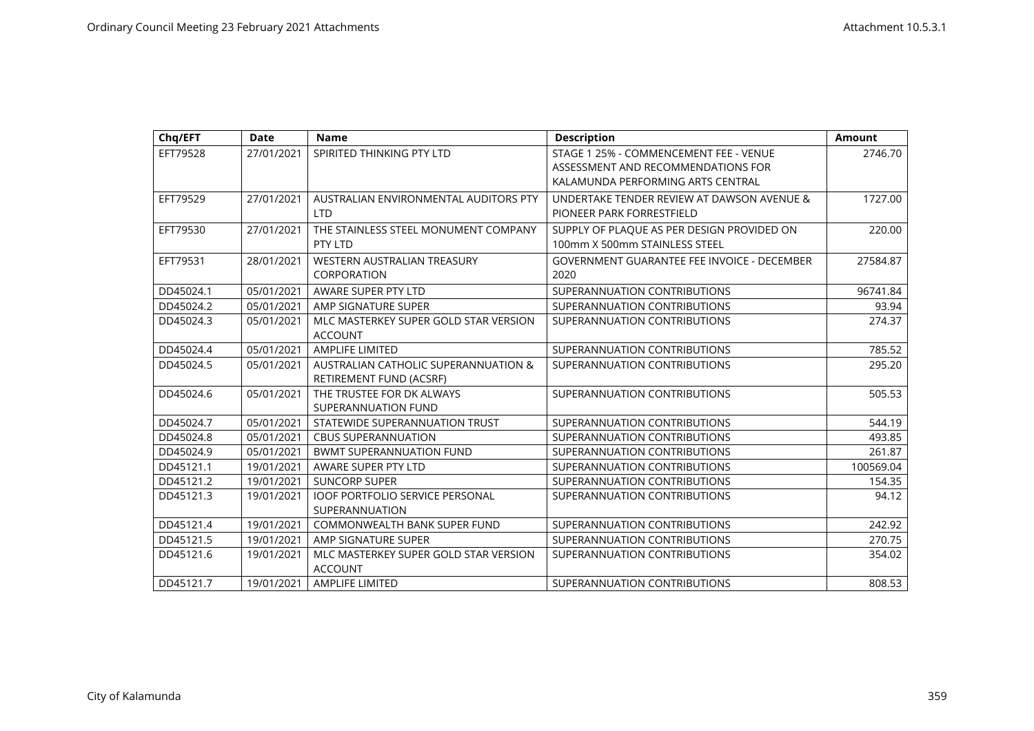| Chq/EFT   | <b>Date</b> | <b>Name</b>                                              | <b>Description</b>                                                           | <b>Amount</b> |
|-----------|-------------|----------------------------------------------------------|------------------------------------------------------------------------------|---------------|
| EFT79528  | 27/01/2021  | SPIRITED THINKING PTY LTD                                | STAGE 1 25% - COMMENCEMENT FEE - VENUE<br>ASSESSMENT AND RECOMMENDATIONS FOR | 2746.70       |
|           |             |                                                          | KALAMUNDA PERFORMING ARTS CENTRAL                                            |               |
| EFT79529  | 27/01/2021  | AUSTRALIAN ENVIRONMENTAL AUDITORS PTY<br><b>LTD</b>      | UNDERTAKE TENDER REVIEW AT DAWSON AVENUE &<br>PIONEER PARK FORRESTFIELD      | 1727.00       |
| EFT79530  | 27/01/2021  | THE STAINLESS STEEL MONUMENT COMPANY<br>PTY LTD          | SUPPLY OF PLAQUE AS PER DESIGN PROVIDED ON<br>100mm X 500mm STAINLESS STEEL  | 220.00        |
| EFT79531  | 28/01/2021  | WESTERN AUSTRALIAN TREASURY                              | <b>GOVERNMENT GUARANTEE FEE INVOICE - DECEMBER</b>                           | 27584.87      |
|           |             | CORPORATION                                              | 2020                                                                         |               |
| DD45024.1 | 05/01/2021  | AWARE SUPER PTY LTD                                      | SUPERANNUATION CONTRIBUTIONS                                                 | 96741.84      |
| DD45024.2 | 05/01/2021  | AMP SIGNATURE SUPER                                      | SUPERANNUATION CONTRIBUTIONS                                                 | 93.94         |
| DD45024.3 | 05/01/2021  | MLC MASTERKEY SUPER GOLD STAR VERSION                    | SUPERANNUATION CONTRIBUTIONS                                                 | 274.37        |
|           |             | <b>ACCOUNT</b>                                           |                                                                              |               |
| DD45024.4 | 05/01/2021  | <b>AMPLIFE LIMITED</b>                                   | SUPERANNUATION CONTRIBUTIONS                                                 | 785.52        |
| DD45024.5 | 05/01/2021  | AUSTRALIAN CATHOLIC SUPERANNUATION &                     | SUPERANNUATION CONTRIBUTIONS                                                 | 295.20        |
|           |             | RETIREMENT FUND (ACSRF)                                  |                                                                              |               |
| DD45024.6 | 05/01/2021  | THE TRUSTEE FOR DK ALWAYS                                | SUPERANNUATION CONTRIBUTIONS                                                 | 505.53        |
|           |             | SUPERANNUATION FUND                                      |                                                                              |               |
| DD45024.7 | 05/01/2021  | STATEWIDE SUPERANNUATION TRUST                           | SUPERANNUATION CONTRIBUTIONS                                                 | 544.19        |
| DD45024.8 | 05/01/2021  | <b>CBUS SUPERANNUATION</b>                               | SUPERANNUATION CONTRIBUTIONS                                                 | 493.85        |
| DD45024.9 | 05/01/2021  | <b>BWMT SUPERANNUATION FUND</b>                          | SUPERANNUATION CONTRIBUTIONS                                                 | 261.87        |
| DD45121.1 | 19/01/2021  | AWARE SUPER PTY LTD                                      | SUPERANNUATION CONTRIBUTIONS                                                 | 100569.04     |
| DD45121.2 | 19/01/2021  | <b>SUNCORP SUPER</b>                                     | SUPERANNUATION CONTRIBUTIONS                                                 | 154.35        |
| DD45121.3 | 19/01/2021  | <b>IOOF PORTFOLIO SERVICE PERSONAL</b><br>SUPERANNUATION | SUPERANNUATION CONTRIBUTIONS                                                 | 94.12         |
| DD45121.4 | 19/01/2021  | <b>COMMONWEALTH BANK SUPER FUND</b>                      | SUPERANNUATION CONTRIBUTIONS                                                 | 242.92        |
| DD45121.5 | 19/01/2021  | AMP SIGNATURE SUPER                                      | SUPERANNUATION CONTRIBUTIONS                                                 | 270.75        |
| DD45121.6 | 19/01/2021  | MLC MASTERKEY SUPER GOLD STAR VERSION<br><b>ACCOUNT</b>  | SUPERANNUATION CONTRIBUTIONS                                                 | 354.02        |
| DD45121.7 | 19/01/2021  | <b>AMPLIFE LIMITED</b>                                   | SUPERANNUATION CONTRIBUTIONS                                                 | 808.53        |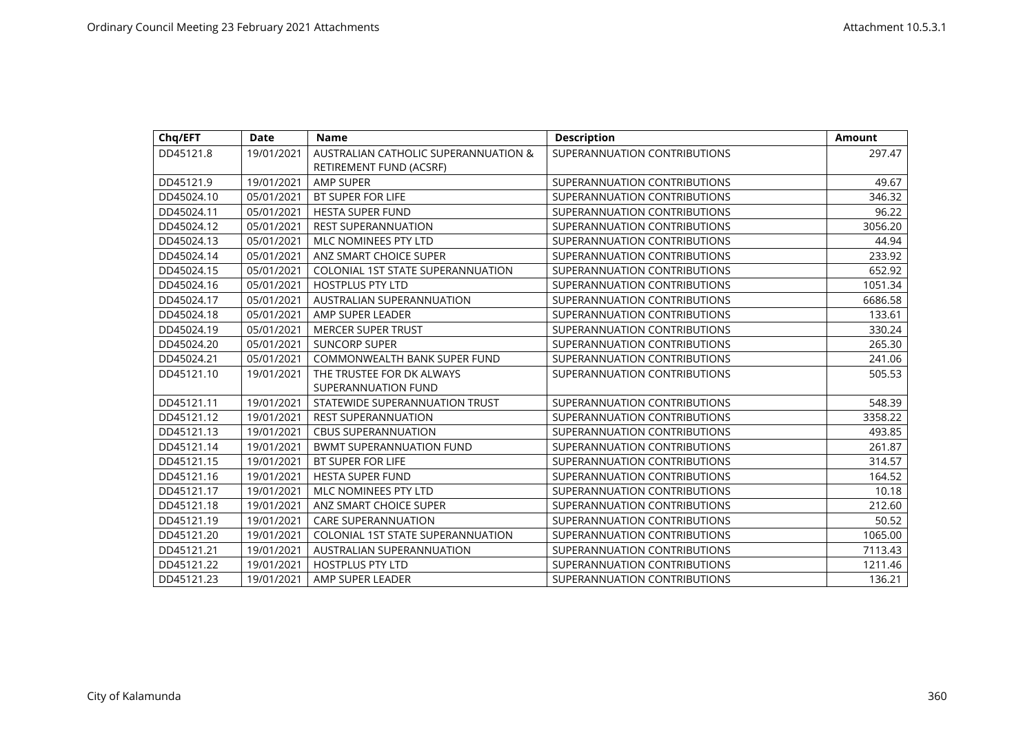| Chq/EFT    | Date       | <b>Name</b>                              | <b>Description</b>           | <b>Amount</b> |
|------------|------------|------------------------------------------|------------------------------|---------------|
| DD45121.8  | 19/01/2021 | AUSTRALIAN CATHOLIC SUPERANNUATION &     | SUPERANNUATION CONTRIBUTIONS | 297.47        |
|            |            | RETIREMENT FUND (ACSRF)                  |                              |               |
| DD45121.9  | 19/01/2021 | <b>AMP SUPER</b>                         | SUPERANNUATION CONTRIBUTIONS | 49.67         |
| DD45024.10 | 05/01/2021 | BT SUPER FOR LIFE                        | SUPERANNUATION CONTRIBUTIONS | 346.32        |
| DD45024.11 | 05/01/2021 | <b>HESTA SUPER FUND</b>                  | SUPERANNUATION CONTRIBUTIONS | 96.22         |
| DD45024.12 | 05/01/2021 | <b>REST SUPERANNUATION</b>               | SUPERANNUATION CONTRIBUTIONS | 3056.20       |
| DD45024.13 | 05/01/2021 | MLC NOMINEES PTY LTD                     | SUPERANNUATION CONTRIBUTIONS | 44.94         |
| DD45024.14 | 05/01/2021 | ANZ SMART CHOICE SUPER                   | SUPERANNUATION CONTRIBUTIONS | 233.92        |
| DD45024.15 | 05/01/2021 | <b>COLONIAL 1ST STATE SUPERANNUATION</b> | SUPERANNUATION CONTRIBUTIONS | 652.92        |
| DD45024.16 | 05/01/2021 | <b>HOSTPLUS PTY LTD</b>                  | SUPERANNUATION CONTRIBUTIONS | 1051.34       |
| DD45024.17 | 05/01/2021 | AUSTRALIAN SUPERANNUATION                | SUPERANNUATION CONTRIBUTIONS | 6686.58       |
| DD45024.18 | 05/01/2021 | AMP SUPER LEADER                         | SUPERANNUATION CONTRIBUTIONS | 133.61        |
| DD45024.19 | 05/01/2021 | <b>MERCER SUPER TRUST</b>                | SUPERANNUATION CONTRIBUTIONS | 330.24        |
| DD45024.20 | 05/01/2021 | <b>SUNCORP SUPER</b>                     | SUPERANNUATION CONTRIBUTIONS | 265.30        |
| DD45024.21 | 05/01/2021 | <b>COMMONWEALTH BANK SUPER FUND</b>      | SUPERANNUATION CONTRIBUTIONS | 241.06        |
| DD45121.10 | 19/01/2021 | THE TRUSTEE FOR DK ALWAYS                | SUPERANNUATION CONTRIBUTIONS | 505.53        |
|            |            | SUPERANNUATION FUND                      |                              |               |
| DD45121.11 | 19/01/2021 | STATEWIDE SUPERANNUATION TRUST           | SUPERANNUATION CONTRIBUTIONS | 548.39        |
| DD45121.12 | 19/01/2021 | <b>REST SUPERANNUATION</b>               | SUPERANNUATION CONTRIBUTIONS | 3358.22       |
| DD45121.13 | 19/01/2021 | <b>CBUS SUPERANNUATION</b>               | SUPERANNUATION CONTRIBUTIONS | 493.85        |
| DD45121.14 | 19/01/2021 | <b>BWMT SUPERANNUATION FUND</b>          | SUPERANNUATION CONTRIBUTIONS | 261.87        |
| DD45121.15 | 19/01/2021 | BT SUPER FOR LIFE                        | SUPERANNUATION CONTRIBUTIONS | 314.57        |
| DD45121.16 | 19/01/2021 | <b>HESTA SUPER FUND</b>                  | SUPERANNUATION CONTRIBUTIONS | 164.52        |
| DD45121.17 | 19/01/2021 | MLC NOMINEES PTY LTD                     | SUPERANNUATION CONTRIBUTIONS | 10.18         |
| DD45121.18 | 19/01/2021 | ANZ SMART CHOICE SUPER                   | SUPERANNUATION CONTRIBUTIONS | 212.60        |
| DD45121.19 | 19/01/2021 | <b>CARE SUPERANNUATION</b>               | SUPERANNUATION CONTRIBUTIONS | 50.52         |
| DD45121.20 | 19/01/2021 | <b>COLONIAL 1ST STATE SUPERANNUATION</b> | SUPERANNUATION CONTRIBUTIONS | 1065.00       |
| DD45121.21 | 19/01/2021 | AUSTRALIAN SUPERANNUATION                | SUPERANNUATION CONTRIBUTIONS | 7113.43       |
| DD45121.22 | 19/01/2021 | <b>HOSTPLUS PTY LTD</b>                  | SUPERANNUATION CONTRIBUTIONS | 1211.46       |
| DD45121.23 | 19/01/2021 | AMP SUPER LEADER                         | SUPERANNUATION CONTRIBUTIONS | 136.21        |